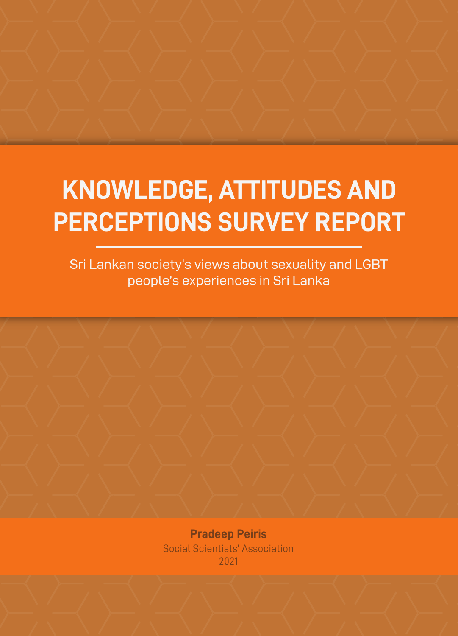## **KNOWLEDGE, ATTITUDES AND SI** SEI HONO SONTETINER **PERCEPTIONS SURVEY REPORT**

Knowledge, Attitudes and Perceptions Survey people's experiences in Sri Lanka Sri Lankan society's views about sexuality and LGBT

> **Pradeep Peiris** Social Scientists' Association 2021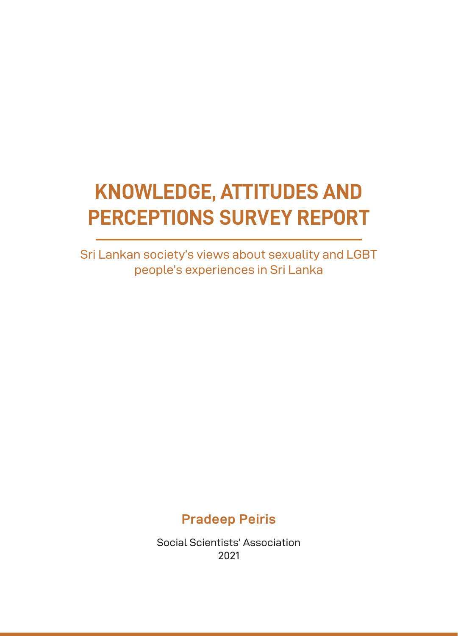## **KNOWLEDGE, ATTITUDES AND PERCEPTIONS SURVEY REPORT**

Sri Lankan society's views about sexuality and LGBT people's experiences in Sri Lanka

**Pradeep Peiris**

Social Scientists' Association 2021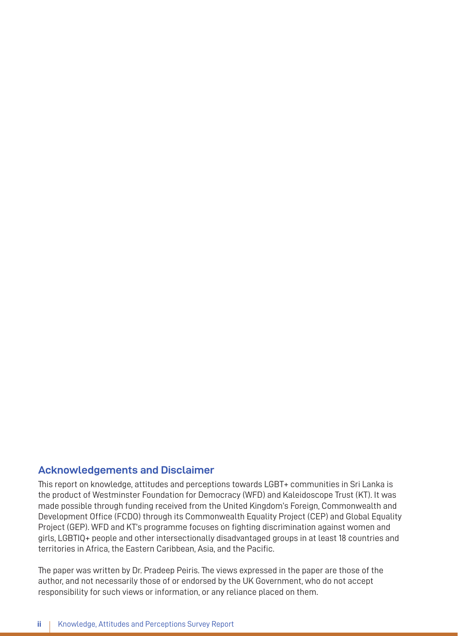#### **Acknowledgements and Disclaimer**

This report on knowledge, attitudes and perceptions towards LGBT+ communities in Sri Lanka is the product of Westminster Foundation for Democracy (WFD) and Kaleidoscope Trust (KT). It was made possible through funding received from the United Kingdom's Foreign, Commonwealth and Development Office (FCDO) through its Commonwealth Equality Project (CEP) and Global Equality Project (GEP). WFD and KT's programme focuses on fighting discrimination against women and girls, LGBTIQ+ people and other intersectionally disadvantaged groups in at least 18 countries and territories in Africa, the Eastern Caribbean, Asia, and the Pacific.

The paper was written by Dr. Pradeep Peiris. The views expressed in the paper are those of the author, and not necessarily those of or endorsed by the UK Government, who do not accept responsibility for such views or information, or any reliance placed on them.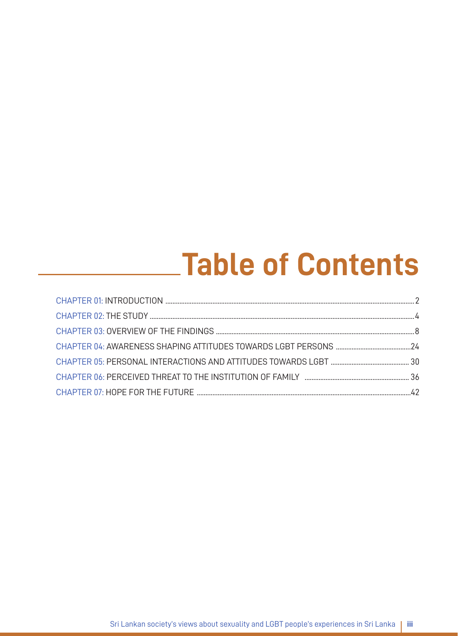## **Table of Contents**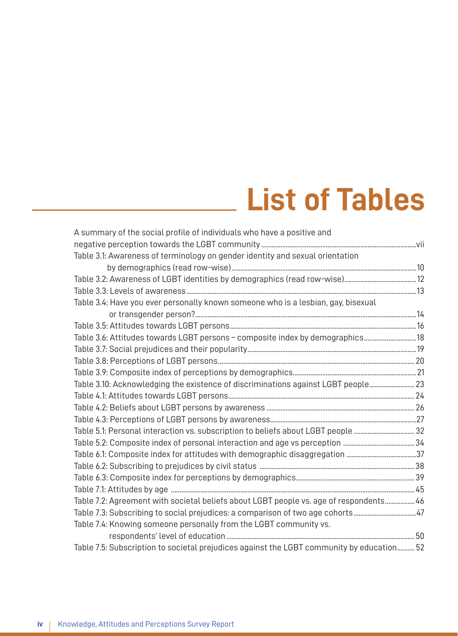# **List of Tables**

| A summary of the social profile of individuals who have a positive and                    |  |
|-------------------------------------------------------------------------------------------|--|
|                                                                                           |  |
| Table 3.1: Awareness of terminology on gender identity and sexual orientation             |  |
|                                                                                           |  |
|                                                                                           |  |
|                                                                                           |  |
| Table 3.4: Have you ever personally known someone who is a lesbian, gay, bisexual         |  |
|                                                                                           |  |
|                                                                                           |  |
| Table 3.6: Attitudes towards LGBT persons - composite index by demographics18             |  |
|                                                                                           |  |
|                                                                                           |  |
|                                                                                           |  |
| Table 3.10: Acknowledging the existence of discriminations against LGBT people 23         |  |
|                                                                                           |  |
|                                                                                           |  |
|                                                                                           |  |
| Table 5.1: Personal interaction vs. subscription to beliefs about LGBT people  32         |  |
|                                                                                           |  |
|                                                                                           |  |
|                                                                                           |  |
|                                                                                           |  |
|                                                                                           |  |
|                                                                                           |  |
| Table 7.3: Subscribing to social prejudices: a comparison of two age cohorts47            |  |
| Table 7.4: Knowing someone personally from the LGBT community vs.                         |  |
|                                                                                           |  |
| Table 7.5: Subscription to societal prejudices against the LGBT community by education 52 |  |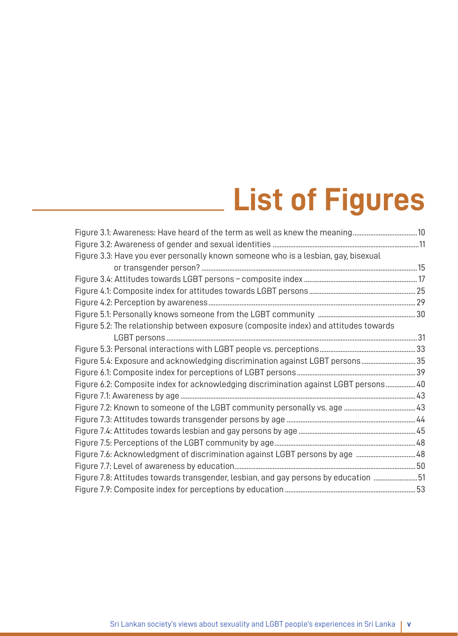# **List of Figures**

| Figure 3.1: Awareness: Have heard of the term as well as knew the meaning10           |  |
|---------------------------------------------------------------------------------------|--|
|                                                                                       |  |
| Figure 3.3: Have you ever personally known someone who is a lesbian, gay, bisexual    |  |
|                                                                                       |  |
|                                                                                       |  |
|                                                                                       |  |
|                                                                                       |  |
|                                                                                       |  |
| Figure 5.2: The relationship between exposure (composite index) and attitudes towards |  |
|                                                                                       |  |
|                                                                                       |  |
| Figure 5.4: Exposure and acknowledging discrimination against LGBT persons35          |  |
|                                                                                       |  |
| Figure 6.2: Composite index for acknowledging discrimination against LGBT persons 40  |  |
|                                                                                       |  |
|                                                                                       |  |
|                                                                                       |  |
|                                                                                       |  |
|                                                                                       |  |
|                                                                                       |  |
|                                                                                       |  |
| Figure 7.8: Attitudes towards transgender, lesbian, and gay persons by education 51   |  |
|                                                                                       |  |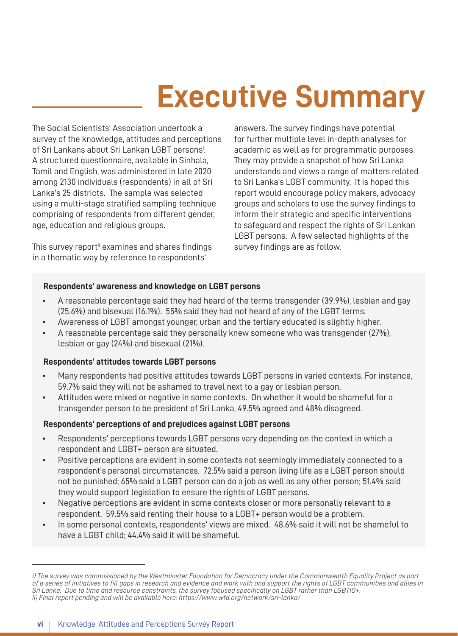# **Executive Summary**

The Social Scientists' Association undertook a survey of the knowledge, attitudes and perceptions of Sri Lankans about Sri Lankan LGBT persons<sup>i</sup>. A structured questionnaire, available in Sinhala, Tamil and English, was administered in late 2020 among 2130 individuals (respondents) in all of Sri Lanka's 25 districts. The sample was selected using a multi-stage stratified sampling technique comprising of respondents from different gender, age, education and religious groups.

This survey report<sup>ii</sup> examines and shares findings in a thematic way by reference to respondents'

answers. The survey findings have potential for further multiple level in-depth analyses for academic as well as for programmatic purposes. They may provide a snapshot of how Sri Lanka understands and views a range of matters related to Sri Lanka's LGBT community. It is hoped this report would encourage policy makers, advocacy groups and scholars to use the survey findings to inform their strategic and specific interventions to safeguard and respect the rights of Sri Lankan LGBT persons. A few selected highlights of the survey findings are as follow.

#### **Respondents' awareness and knowledge on LGBT persons**

- A reasonable percentage said they had heard of the terms transgender (39.9%), lesbian and gay (25.6%) and bisexual (16.1%). 55% said they had not heard of any of the LGBT terms.
- Awareness of LGBT amongst younger, urban and the tertiary educated is slightly higher.
- A reasonable percentage said they personally knew someone who was transgender (27%), lesbian or gay (24%) and bisexual (21%).

#### **Respondents' attitudes towards LGBT persons**

- Many respondents had positive attitudes towards LGBT persons in varied contexts. For instance, 59.7% said they will not be ashamed to travel next to a gay or lesbian person.
- Attitudes were mixed or negative in some contexts. On whether it would be shameful for a transgender person to be president of Sri Lanka, 49.5% agreed and 48% disagreed.

#### **Respondents' perceptions of and prejudices against LGBT persons**

- Respondents' perceptions towards LGBT persons vary depending on the context in which a respondent and LGBT+ person are situated.
- Positive perceptions are evident in some contexts not seemingly immediately connected to a respondent's personal circumstances. 72.5% said a person living life as a LGBT person should not be punished; 65% said a LGBT person can do a job as well as any other person; 51.4% said they would support legislation to ensure the rights of LGBT persons.
- Negative perceptions are evident in some contexts closer or more personally relevant to a respondent. 59.5% said renting their house to a LGBT+ person would be a problem.
- In some personal contexts, respondents' views are mixed. 48.6% said it will not be shameful to have a LGBT child; 44.4% said it will be shameful.

*i) The survey was commissioned by the Westminster Foundation for Democracy under the Commonwealth Equality Project as part of a series of initiatives to fill gaps in research and evidence and work with and support the rights of LGBT communities and allies in Sri Lanka. Due to time and resource constraints, the survey focused specifically on LGBT rather than LGBTIQ+. ii) Final report pending and will be available here: https://www.wfd.org/network/sri-lanka/*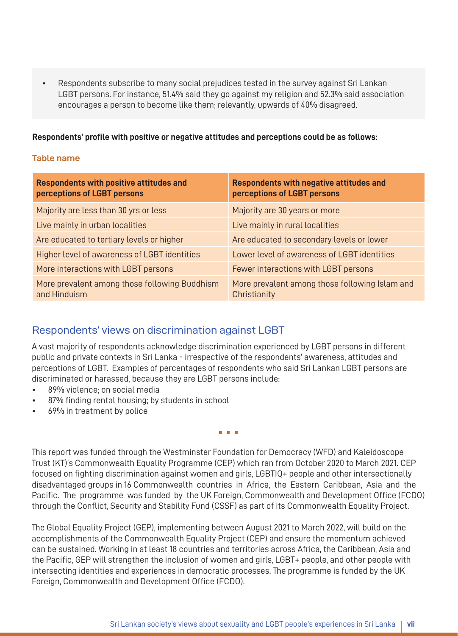• Respondents subscribe to many social prejudices tested in the survey against Sri Lankan LGBT persons. For instance, 51.4% said they go against my religion and 52.3% said association encourages a person to become like them; relevantly, upwards of 40% disagreed.

**Respondents' profile with positive or negative attitudes and perceptions could be as follows:**

#### **Table name**

| <b>Respondents with positive attitudes and</b><br>perceptions of LGBT persons | <b>Respondents with negative attitudes and</b><br>perceptions of LGBT persons |
|-------------------------------------------------------------------------------|-------------------------------------------------------------------------------|
| Majority are less than 30 yrs or less                                         | Majority are 30 years or more                                                 |
| Live mainly in urban localities                                               | Live mainly in rural localities                                               |
| Are educated to tertiary levels or higher                                     | Are educated to secondary levels or lower                                     |
| Higher level of awareness of LGBT identities                                  | Lower level of awareness of LGBT identities                                   |
| More interactions with LGBT persons                                           | Fewer interactions with LGBT persons                                          |
| More prevalent among those following Buddhism<br>and Hinduism                 | More prevalent among those following Islam and<br>Christianity                |

#### Respondents' views on discrimination against LGBT

A vast majority of respondents acknowledge discrimination experienced by LGBT persons in different public and private contexts in Sri Lanka - irrespective of the respondents' awareness, attitudes and perceptions of LGBT. Examples of percentages of respondents who said Sri Lankan LGBT persons are discriminated or harassed, because they are LGBT persons include:

- 89% violence; on social media
- 87% finding rental housing; by students in school
- 69% in treatment by police

This report was funded through the Westminster Foundation for Democracy (WFD) and Kaleidoscope Trust (KT)'s Commonwealth Equality Programme (CEP) which ran from October 2020 to March 2021. CEP focused on fighting discrimination against women and girls, LGBTIQ+ people and other intersectionally disadvantaged groups in 16 Commonwealth countries in Africa, the Eastern Caribbean, Asia and the Pacific. The programme was funded by the UK Foreign, Commonwealth and Development Office (FCDO) through the Conflict, Security and Stability Fund (CSSF) as part of its Commonwealth Equality Project.

a a s

The Global Equality Project (GEP), implementing between August 2021 to March 2022, will build on the accomplishments of the Commonwealth Equality Project (CEP) and ensure the momentum achieved can be sustained. Working in at least 18 countries and territories across Africa, the Caribbean, Asia and the Pacific, GEP will strengthen the inclusion of women and girls, LGBT+ people, and other people with intersecting identities and experiences in democratic processes. The programme is funded by the UK Foreign, Commonwealth and Development Office (FCDO).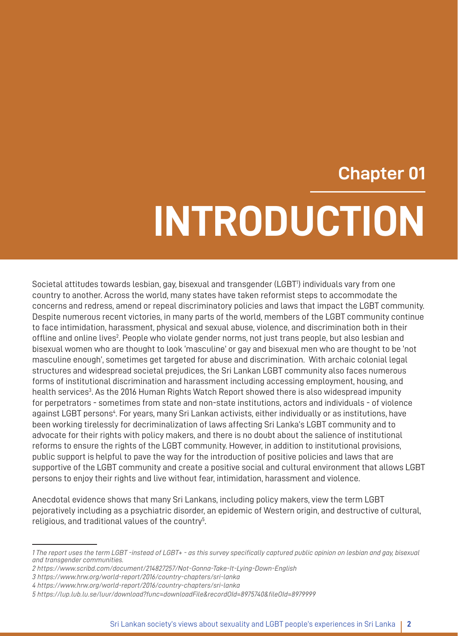### **Chapter 01**

# **INTRODUCTION**

Societal attitudes towards lesbian, gay, bisexual and transgender (LGBT<sup>I</sup>) individuals vary from one country to another. Across the world, many states have taken reformist steps to accommodate the concerns and redress, amend or repeal discriminatory policies and laws that impact the LGBT community. Despite numerous recent victories, in many parts of the world, members of the LGBT community continue to face intimidation, harassment, physical and sexual abuse, violence, and discrimination both in their offline and online lives<sup>2</sup>. People who violate gender norms, not just trans people, but also lesbian and bisexual women who are thought to look 'masculine' or gay and bisexual men who are thought to be 'not masculine enough', sometimes get targeted for abuse and discrimination. With archaic colonial legal structures and widespread societal prejudices, the Sri Lankan LGBT community also faces numerous forms of institutional discrimination and harassment including accessing employment, housing, and health services<sup>3</sup>. As the 2016 Human Rights Watch Report showed there is also widespread impunity for perpetrators - sometimes from state and non-state institutions, actors and individuals - of violence against LGBT persons<sup>4</sup>. For years, many Sri Lankan activists, either individually or as institutions, have been working tirelessly for decriminalization of laws affecting Sri Lanka's LGBT community and to advocate for their rights with policy makers, and there is no doubt about the salience of institutional reforms to ensure the rights of the LGBT community. However, in addition to institutional provisions, public support is helpful to pave the way for the introduction of positive policies and laws that are supportive of the LGBT community and create a positive social and cultural environment that allows LGBT persons to enjoy their rights and live without fear, intimidation, harassment and violence.

Anecdotal evidence shows that many Sri Lankans, including policy makers, view the term LGBT pejoratively including as a psychiatric disorder, an epidemic of Western origin, and destructive of cultural, religious, and traditional values of the country<sup>5</sup>.

*<sup>1</sup> The report uses the term LGBT -instead of LGBT+ - as this survey specifically captured public opinion on lesbian and gay, bisexual and transgender communities.*

*<sup>2</sup> https://www.scribd.com/document/214827257/Not-Gonna-Take-It-Lying-Down-English*

*<sup>3</sup> https://www.hrw.org/world-report/2016/country-chapters/sri-lanka*

*<sup>4</sup> https://www.hrw.org/world-report/2016/country-chapters/sri-lanka*

*<sup>5</sup> https://lup.lub.lu.se/luur/download?func=downloadFile&recordOId=8975740&fileOId=8979999*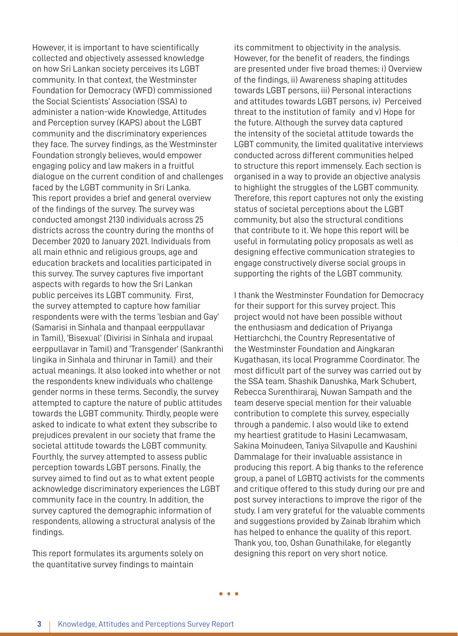However, it is important to have scientifically collected and objectively assessed knowledge on how Sri Lankan society perceives its LGBT community. In that context, the Westminster Foundation for Democracy (WFD) commissioned the Social Scientists' Association (SSA) to administer a nation-wide Knowledge, Attitudes and Perception survey (KAPS) about the LGBT community and the discriminatory experiences they face. The survey findings, as the Westminster Foundation strongly believes, would empower engaging policy and law makers in a fruitful dialogue on the current condition of and challenges faced by the LGBT community in Sri Lanka. This report provides a brief and general overview of the findings of the survey. The survey was conducted amongst 2130 individuals across 25 districts across the country during the months of December 2020 to January 2021. Individuals from all main ethnic and religious groups, age and education brackets and localities participated in this survey. The survey captures five important aspects with regards to how the Sri Lankan public perceives its LGBT community. First, the survey attempted to capture how familiar respondents were with the terms 'lesbian and Gay' (Samarisi in Sinhala and thanpaal eerppullavar in Tamil), 'Bisexual' (Divirisi in Sinhala and irupaal eerppullavar in Tamil) and 'Transgender' (Sankranthi lingika in Sinhala and thirunar in Tamil) and their actual meanings. It also looked into whether or not the respondents knew individuals who challenge gender norms in these terms. Secondly, the survey attempted to capture the nature of public attitudes towards the LGBT community. Thirdly, people were asked to indicate to what extent they subscribe to prejudices prevalent in our society that frame the societal attitude towards the LGBT community. Fourthly, the survey attempted to assess public perception towards LGBT persons. Finally, the survey aimed to find out as to what extent people acknowledge discriminatory experiences the LGBT community face in the country. In addition, the survey captured the demographic information of respondents, allowing a structural analysis of the findings.

This report formulates its arguments solely on the quantitative survey findings to maintain

its commitment to objectivity in the analysis. However, for the benefit of readers, the findings are presented under five broad themes: i) Overview of the findings, ii) Awareness shaping attitudes towards LGBT persons, iii) Personal interactions and attitudes towards LGBT persons, iv) Perceived threat to the institution of family and v) Hope for the future. Although the survey data captured the intensity of the societal attitude towards the LGBT community, the limited qualitative interviews conducted across different communities helped to structure this report immensely. Each section is organised in a way to provide an objective analysis to highlight the struggles of the LGBT community. Therefore, this report captures not only the existing status of societal perceptions about the LGBT community, but also the structural conditions that contribute to it. We hope this report will be useful in formulating policy proposals as well as designing effective communication strategies to engage constructively diverse social groups in supporting the rights of the LGBT community.

I thank the Westminster Foundation for Democracy for their support for this survey project. This project would not have been possible without the enthusiasm and dedication of Priyanga Hettiarchchi, the Country Representative of the Westminster Foundation and Aingkaran Kugathasan, its local Programme Coordinator. The most difficult part of the survey was carried out by the SSA team. Shashik Danushka, Mark Schubert, Rebecca Surenthiraraj, Nuwan Sampath and the team deserve special mention for their valuable contribution to complete this survey, especially through a pandemic. I also would like to extend my heartiest gratitude to Hasini Lecamwasam, Sakina Moinudeen, Taniya Silvapulle and Kaushini Dammalage for their invaluable assistance in producing this report. A big thanks to the reference group, a panel of LGBTQ activists for the comments and critique offered to this study during our pre and post survey interactions to improve the rigor of the study. I am very grateful for the valuable comments and suggestions provided by Zainab Ibrahim which has helped to enhance the quality of this report. Thank you, too, Oshan Gunathilake, for elegantly designing this report on very short notice.

**The Co**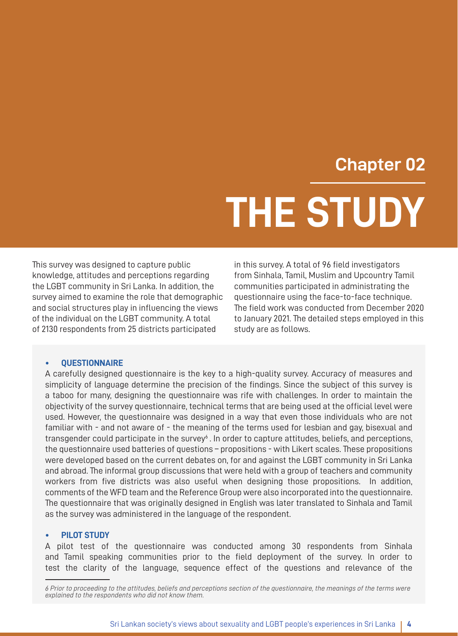## **Chapter 02**

# **THE STUDY**

This survey was designed to capture public knowledge, attitudes and perceptions regarding the LGBT community in Sri Lanka. In addition, the survey aimed to examine the role that demographic and social structures play in influencing the views of the individual on the LGBT community. A total of 2130 respondents from 25 districts participated

in this survey. A total of 96 field investigators from Sinhala, Tamil, Muslim and Upcountry Tamil communities participated in administrating the questionnaire using the face-to-face technique. The field work was conducted from December 2020 to January 2021. The detailed steps employed in this study are as follows.

#### **• QUESTIONNAIRE**

A carefully designed questionnaire is the key to a high-quality survey. Accuracy of measures and simplicity of language determine the precision of the findings. Since the subject of this survey is a taboo for many, designing the questionnaire was rife with challenges. In order to maintain the objectivity of the survey questionnaire, technical terms that are being used at the official level were used. However, the questionnaire was designed in a way that even those individuals who are not familiar with - and not aware of - the meaning of the terms used for lesbian and gay, bisexual and transgender could participate in the survey $\epsilon$  . In order to capture attitudes, beliefs, and perceptions, the questionnaire used batteries of questions – propositions - with Likert scales. These propositions were developed based on the current debates on, for and against the LGBT community in Sri Lanka and abroad. The informal group discussions that were held with a group of teachers and community workers from five districts was also useful when designing those propositions. In addition, comments of the WFD team and the Reference Group were also incorporated into the questionnaire. The questionnaire that was originally designed in English was later translated to Sinhala and Tamil as the survey was administered in the language of the respondent.

#### **• PILOT STUDY**

A pilot test of the questionnaire was conducted among 30 respondents from Sinhala and Tamil speaking communities prior to the field deployment of the survey. In order to test the clarity of the language, sequence effect of the questions and relevance of the

*<sup>6</sup> Prior to proceeding to the attitudes, beliefs and perceptions section of the questionnaire, the meanings of the terms were explained to the respondents who did not know them.*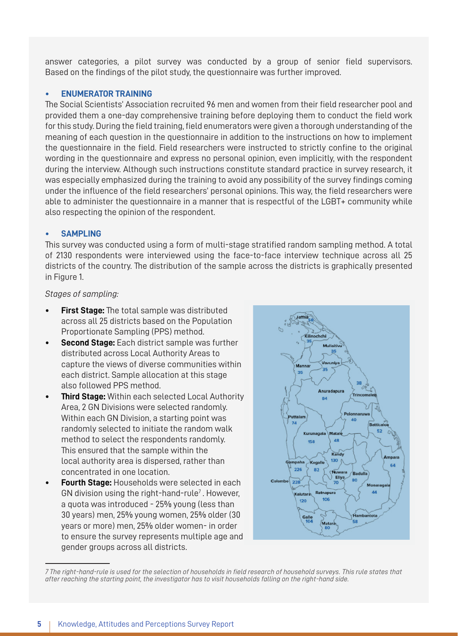answer categories, a pilot survey was conducted by a group of senior field supervisors. Based on the findings of the pilot study, the questionnaire was further improved.

#### **• ENUMERATOR TRAINING**

The Social Scientists' Association recruited 96 men and women from their field researcher pool and provided them a one-day comprehensive training before deploying them to conduct the field work for this study. During the field training, field enumerators were given a thorough understanding of the meaning of each question in the questionnaire in addition to the instructions on how to implement the questionnaire in the field. Field researchers were instructed to strictly confine to the original wording in the questionnaire and express no personal opinion, even implicitly, with the respondent during the interview. Although such instructions constitute standard practice in survey research, it was especially emphasized during the training to avoid any possibility of the survey findings coming under the influence of the field researchers' personal opinions. This way, the field researchers were able to administer the questionnaire in a manner that is respectful of the LGBT+ community while also respecting the opinion of the respondent.

#### **• SAMPLING**

This survey was conducted using a form of multi-stage stratified random sampling method. A total of 2130 respondents were interviewed using the face-to-face interview technique across all 25 districts of the country. The distribution of the sample across the districts is graphically presented in Figure 1.

#### *Stages of sampling:*

- **• First Stage:** The total sample was distributed across all 25 districts based on the Population Proportionate Sampling (PPS) method.
- **• Second Stage:** Each district sample was further distributed across Local Authority Areas to capture the views of diverse communities within each district. Sample allocation at this stage also followed PPS method.
- **• Third Stage:** Within each selected Local Authority Area, 2 GN Divisions were selected randomly. Within each GN Division, a starting point was randomly selected to initiate the random walk method to select the respondents randomly. This ensured that the sample within the local authority area is dispersed, rather than concentrated in one location.
- **• Fourth Stage:** Households were selected in each GN division using the right-hand-rule<sup>7</sup>. However, a quota was introduced - 25% young (less than 30 years) men, 25% young women, 25% older (30 years or more) men, 25% older women- in order to ensure the survey represents multiple age and gender groups across all districts.



*<sup>7</sup> The right-hand-rule is used for the selection of households in field research of household surveys. This rule states that after reaching the starting point, the investigator has to visit households falling on the right-hand side.*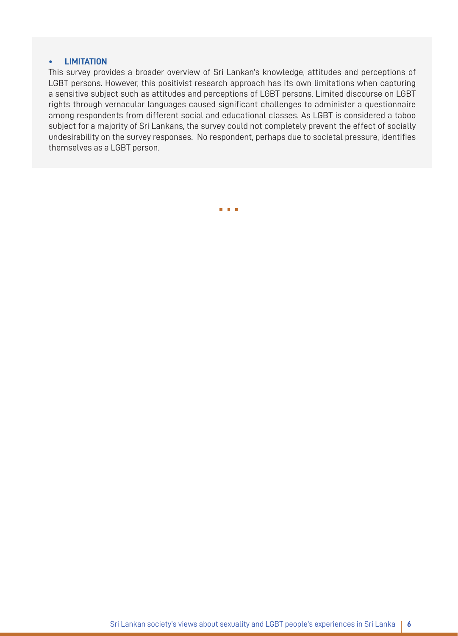#### **• LIMITATION**

This survey provides a broader overview of Sri Lankan's knowledge, attitudes and perceptions of LGBT persons. However, this positivist research approach has its own limitations when capturing a sensitive subject such as attitudes and perceptions of LGBT persons. Limited discourse on LGBT rights through vernacular languages caused significant challenges to administer a questionnaire among respondents from different social and educational classes. As LGBT is considered a taboo subject for a majority of Sri Lankans, the survey could not completely prevent the effect of socially undesirability on the survey responses. No respondent, perhaps due to societal pressure, identifies themselves as a LGBT person.

**CONTRACTOR**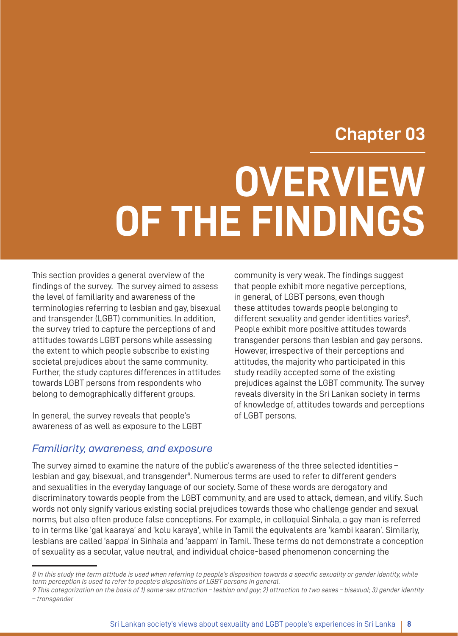## **Chapter 03**

# **OVERVIEW OF THE FINDINGS**

This section provides a general overview of the findings of the survey. The survey aimed to assess the level of familiarity and awareness of the terminologies referring to lesbian and gay, bisexual and transgender (LGBT) communities. In addition, the survey tried to capture the perceptions of and attitudes towards LGBT persons while assessing the extent to which people subscribe to existing societal prejudices about the same community. Further, the study captures differences in attitudes towards LGBT persons from respondents who belong to demographically different groups.

In general, the survey reveals that people's awareness of as well as exposure to the LGBT

*Familiarity, awareness, and exposure*

community is very weak. The findings suggest that people exhibit more negative perceptions, in general, of LGBT persons, even though these attitudes towards people belonging to different sexuality and gender identities varies<sup>8</sup>. People exhibit more positive attitudes towards transgender persons than lesbian and gay persons. However, irrespective of their perceptions and attitudes, the majority who participated in this study readily accepted some of the existing prejudices against the LGBT community. The survey reveals diversity in the Sri Lankan society in terms of knowledge of, attitudes towards and perceptions of LGBT persons.

The survey aimed to examine the nature of the public's awareness of the three selected identities – lesbian and gay, bisexual, and transgender<sup>9</sup>. Numerous terms are used to refer to different genders and sexualities in the everyday language of our society. Some of these words are derogatory and discriminatory towards people from the LGBT community, and are used to attack, demean, and vilify. Such words not only signify various existing social prejudices towards those who challenge gender and sexual norms, but also often produce false conceptions. For example, in colloquial Sinhala, a gay man is referred to in terms like 'gal kaaraya' and 'kolu karaya', while in Tamil the equivalents are 'kambi kaaran'. Similarly, lesbians are called 'aappa' in Sinhala and 'aappam' in Tamil. These terms do not demonstrate a conception of sexuality as a secular, value neutral, and individual choice-based phenomenon concerning the

*<sup>8</sup> In this study the term attitude is used when referring to people's disposition towards a specific sexuality or gender identity, while term perception is used to refer to people's dispositions of LGBT persons in general.* 

*<sup>9</sup> This categorization on the basis of 1) same-sex attraction – lesbian and gay; 2) attraction to two sexes – bisexual; 3) gender identity – transgender*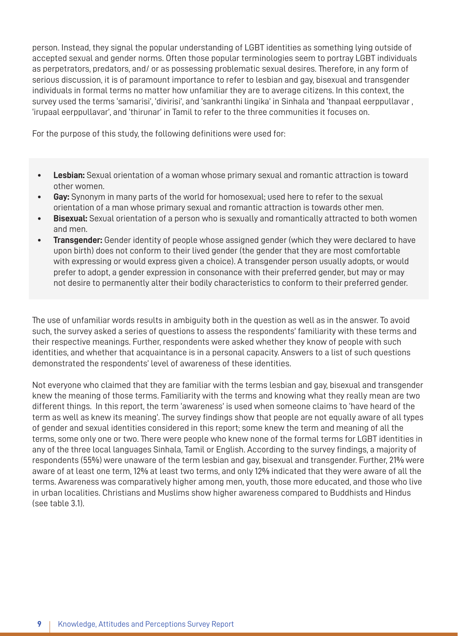person. Instead, they signal the popular understanding of LGBT identities as something lying outside of accepted sexual and gender norms. Often those popular terminologies seem to portray LGBT individuals as perpetrators, predators, and/ or as possessing problematic sexual desires. Therefore, in any form of serious discussion, it is of paramount importance to refer to lesbian and gay, bisexual and transgender individuals in formal terms no matter how unfamiliar they are to average citizens. In this context, the survey used the terms 'samarisi', 'divirisi', and 'sankranthi lingika' in Sinhala and 'thanpaal eerppullavar , 'irupaal eerppullavar', and 'thirunar' in Tamil to refer to the three communities it focuses on.

For the purpose of this study, the following definitions were used for:

- **• Lesbian:** Sexual orientation of a woman whose primary sexual and romantic attraction is toward other women.
- **• Gay:** Synonym in many parts of the world for homosexual; used here to refer to the sexual orientation of a man whose primary sexual and romantic attraction is towards other men.
- **• Bisexual:** Sexual orientation of a person who is sexually and romantically attracted to both women and men.
- **• Transgender:** Gender identity of people whose assigned gender (which they were declared to have upon birth) does not conform to their lived gender (the gender that they are most comfortable with expressing or would express given a choice). A transgender person usually adopts, or would prefer to adopt, a gender expression in consonance with their preferred gender, but may or may not desire to permanently alter their bodily characteristics to conform to their preferred gender.

The use of unfamiliar words results in ambiguity both in the question as well as in the answer. To avoid such, the survey asked a series of questions to assess the respondents' familiarity with these terms and their respective meanings. Further, respondents were asked whether they know of people with such identities, and whether that acquaintance is in a personal capacity. Answers to a list of such questions demonstrated the respondents' level of awareness of these identities.

Not everyone who claimed that they are familiar with the terms lesbian and gay, bisexual and transgender knew the meaning of those terms. Familiarity with the terms and knowing what they really mean are two different things. In this report, the term 'awareness' is used when someone claims to 'have heard of the term as well as knew its meaning'. The survey findings show that people are not equally aware of all types of gender and sexual identities considered in this report; some knew the term and meaning of all the terms, some only one or two. There were people who knew none of the formal terms for LGBT identities in any of the three local languages Sinhala, Tamil or English. According to the survey findings, a majority of respondents (55%) were unaware of the term lesbian and gay, bisexual and transgender. Further, 21% were aware of at least one term, 12% at least two terms, and only 12% indicated that they were aware of all the terms. Awareness was comparatively higher among men, youth, those more educated, and those who live in urban localities. Christians and Muslims show higher awareness compared to Buddhists and Hindus (see table 3.1).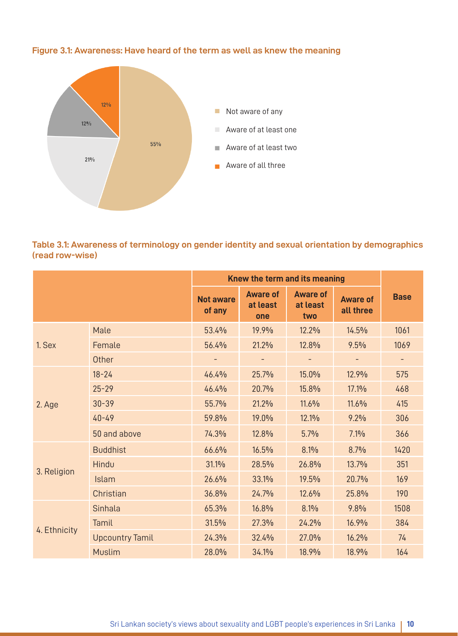

#### **Figure 3.1: Awareness: Have heard of the term as well as knew the meaning**

#### **Table 3.1: Awareness of terminology on gender identity and sexual orientation by demographics (read row-wise)**

|              |                        | Knew the term and its meaning |                                    |                                    |                              |             |
|--------------|------------------------|-------------------------------|------------------------------------|------------------------------------|------------------------------|-------------|
|              |                        | <b>Not aware</b><br>of any    | <b>Aware of</b><br>at least<br>one | <b>Aware of</b><br>at least<br>two | <b>Aware of</b><br>all three | <b>Base</b> |
| 1. Sex       | Male                   | 53.4%                         | 19.9%                              | 12.2%                              | 14.5%                        | 1061        |
|              | Female                 | 56.4%                         | 21.2%                              | 12.8%                              | 9.5%                         | 1069        |
|              | Other                  |                               |                                    |                                    |                              |             |
| 2. Age       | $18 - 24$              | 46.4%                         | 25.7%                              | 15.0%                              | 12.9%                        | 575         |
|              | $25 - 29$              | 46.4%                         | 20.7%                              | 15.8%                              | 17.1%                        | 468         |
|              | $30 - 39$              | 55.7%                         | 21.2%                              | 11.6%                              | 11.6%                        | 415         |
|              | $40 - 49$              | 59.8%                         | 19.0%                              | 12.1%                              | 9.2%                         | 306         |
|              | 50 and above           | 74.3%                         | 12.8%                              | 5.7%                               | 7.1%                         | 366         |
|              | <b>Buddhist</b>        | 66.6%                         | 16.5%                              | 8.1%                               | 8.7%                         | 1420        |
|              | Hindu                  | 31.1%                         | 28.5%                              | 26.8%                              | 13.7%                        | 351         |
| 3. Religion  | Islam                  | 26.6%                         | 33.1%                              | 19.5%                              | 20.7%                        | 169         |
|              | Christian              | 36.8%                         | 24.7%                              | 12.6%                              | 25.8%                        | 190         |
|              | Sinhala                | 65.3%                         | 16.8%                              | 8.1%                               | 9.8%                         | 1508        |
|              | Tamil                  | 31.5%                         | 27.3%                              | 24.2%                              | 16.9%                        | 384         |
| 4. Ethnicity | <b>Upcountry Tamil</b> | 24.3%                         | 32.4%                              | 27.0%                              | 16.2%                        | 74          |
|              | <b>Muslim</b>          | 28.0%                         | 34.1%                              | 18.9%                              | 18.9%                        | 164         |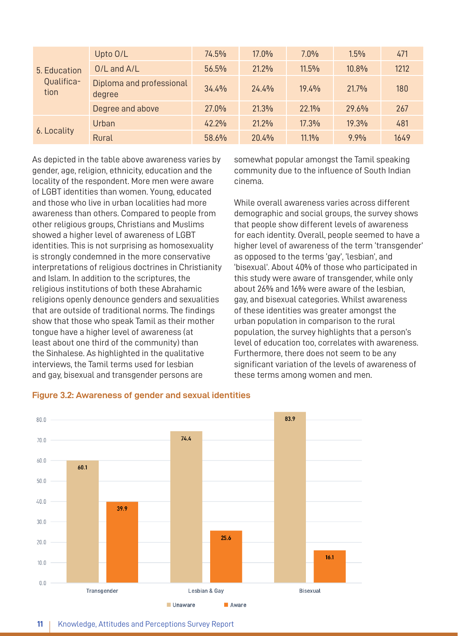| 5. Education<br>Qualifica-<br>tion<br>6. Locality | Upto O/L                           | 74.5% | $17.0\%$ | 7.0%     | 1.5%     | 471  |
|---------------------------------------------------|------------------------------------|-------|----------|----------|----------|------|
|                                                   | $O/L$ and $A/L$                    | 56.5% | 21.2%    | 11.5%    | $10.8\%$ | 1212 |
|                                                   | Diploma and professional<br>degree | 34.4% | 24.4%    | $19.4\%$ | 21.7%    | 180  |
|                                                   | Degree and above                   | 27.0% | 21.3%    | $22.1\%$ | 29.6%    | 267  |
|                                                   | Urban                              | 42.2% | 21.2%    | 17.3%    | 19.3%    | 481  |
|                                                   | Rural                              | 58.6% | 20.4%    | $11.1\%$ | 9.9%     | 1649 |

As depicted in the table above awareness varies by gender, age, religion, ethnicity, education and the locality of the respondent. More men were aware of LGBT identities than women. Young, educated and those who live in urban localities had more awareness than others. Compared to people from other religious groups, Christians and Muslims showed a higher level of awareness of LGBT identities. This is not surprising as homosexuality is strongly condemned in the more conservative interpretations of religious doctrines in Christianity and Islam. In addition to the scriptures, the religious institutions of both these Abrahamic religions openly denounce genders and sexualities that are outside of traditional norms. The findings show that those who speak Tamil as their mother tongue have a higher level of awareness (at least about one third of the community) than the Sinhalese. As highlighted in the qualitative interviews, the Tamil terms used for lesbian and gay, bisexual and transgender persons are

somewhat popular amongst the Tamil speaking community due to the influence of South Indian cinema.

While overall awareness varies across different demographic and social groups, the survey shows that people show different levels of awareness for each identity. Overall, people seemed to have a higher level of awareness of the term 'transgender' as opposed to the terms 'gay', 'lesbian', and 'bisexual'. About 40% of those who participated in this study were aware of transgender, while only about 26% and 16% were aware of the lesbian, gay, and bisexual categories. Whilst awareness of these identities was greater amongst the urban population in comparison to the rural population, the survey highlights that a person's level of education too, correlates with awareness. Furthermore, there does not seem to be any significant variation of the levels of awareness of these terms among women and men.



#### **Figure 3.2: Awareness of gender and sexual identities**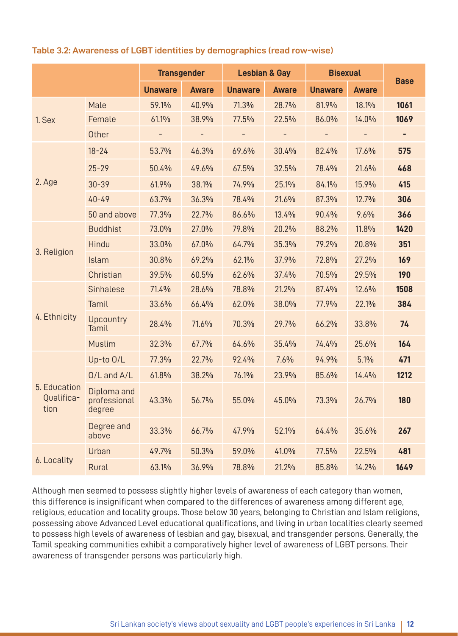|                                    |                                       | <b>Transgender</b>       |              | <b>Lesbian &amp; Gay</b> |              | <b>Bisexual</b> |              |             |
|------------------------------------|---------------------------------------|--------------------------|--------------|--------------------------|--------------|-----------------|--------------|-------------|
|                                    |                                       | <b>Unaware</b>           | <b>Aware</b> | <b>Unaware</b>           | <b>Aware</b> | <b>Unaware</b>  | <b>Aware</b> | <b>Base</b> |
|                                    | Male                                  | 59.1%                    | 40.9%        | 71.3%                    | 28.7%        | 81.9%           | 18.1%        | 1061        |
| 1. Sex                             | Female                                | 61.1%                    | 38.9%        | 77.5%                    | 22.5%        | 86.0%           | 14.0%        | 1069        |
|                                    | Other                                 | $\overline{\phantom{0}}$ |              |                          |              |                 |              |             |
|                                    | $18 - 24$                             | 53.7%                    | 46.3%        | 69.6%                    | 30.4%        | 82.4%           | 17.6%        | 575         |
|                                    | $25 - 29$                             | 50.4%                    | 49.6%        | 67.5%                    | 32.5%        | 78.4%           | 21.6%        | 468         |
| 2. Age                             | $30 - 39$                             | 61.9%                    | 38.1%        | 74.9%                    | 25.1%        | 84.1%           | 15.9%        | 415         |
|                                    | $40 - 49$                             | 63.7%                    | 36.3%        | 78.4%                    | 21.6%        | 87.3%           | 12.7%        | 306         |
|                                    | 50 and above                          | 77.3%                    | 22.7%        | 86.6%                    | 13.4%        | 90.4%           | 9.6%         | 366         |
|                                    | <b>Buddhist</b>                       | 73.0%                    | 27.0%        | 79.8%                    | 20.2%        | 88.2%           | 11.8%        | 1420        |
| 3. Religion                        | Hindu                                 | 33.0%                    | 67.0%        | 64.7%                    | 35.3%        | 79.2%           | 20.8%        | 351         |
|                                    | Islam                                 | 30.8%                    | 69.2%        | 62.1%                    | 37.9%        | 72.8%           | 27.2%        | 169         |
|                                    | Christian                             | 39.5%                    | 60.5%        | 62.6%                    | 37.4%        | 70.5%           | 29.5%        | 190         |
|                                    | <b>Sinhalese</b>                      | 71.4%                    | 28.6%        | 78.8%                    | 21.2%        | 87.4%           | 12.6%        | 1508        |
|                                    | Tamil                                 | 33.6%                    | 66.4%        | 62.0%                    | 38.0%        | 77.9%           | 22.1%        | 384         |
| 4. Ethnicity                       | Upcountry<br>Tamil                    | 28.4%                    | 71.6%        | 70.3%                    | 29.7%        | 66.2%           | 33.8%        | 74          |
|                                    | Muslim                                | 32.3%                    | 67.7%        | 64.6%                    | 35.4%        | 74.4%           | 25.6%        | 164         |
|                                    | Up-to O/L                             | 77.3%                    | 22.7%        | 92.4%                    | 7.6%         | 94.9%           | 5.1%         | 471         |
|                                    | O/L and A/L                           | 61.8%                    | 38.2%        | 76.1%                    | 23.9%        | 85.6%           | 14.4%        | 1212        |
| 5. Education<br>Qualifica-<br>tion | Diploma and<br>professional<br>degree | 43.3%                    | 56.7%        | 55.0%                    | 45.0%        | 73.3%           | 26.7%        | 180         |
|                                    | Degree and<br>above                   | 33.3%                    | 66.7%        | 47.9%                    | 52.1%        | 64.4%           | 35.6%        | 267         |
|                                    | Urban                                 | 49.7%                    | 50.3%        | 59.0%                    | 41.0%        | 77.5%           | 22.5%        | 481         |
| 6. Locality                        | Rural                                 | 63.1%                    | 36.9%        | 78.8%                    | 21.2%        | 85.8%           | 14.2%        | 1649        |

#### **Table 3.2: Awareness of LGBT identities by demographics (read row-wise)**

Although men seemed to possess slightly higher levels of awareness of each category than women, this difference is insignificant when compared to the differences of awareness among different age, religious, education and locality groups. Those below 30 years, belonging to Christian and Islam religions, possessing above Advanced Level educational qualifications, and living in urban localities clearly seemed to possess high levels of awareness of lesbian and gay, bisexual, and transgender persons. Generally, the Tamil speaking communities exhibit a comparatively higher level of awareness of LGBT persons. Their awareness of transgender persons was particularly high.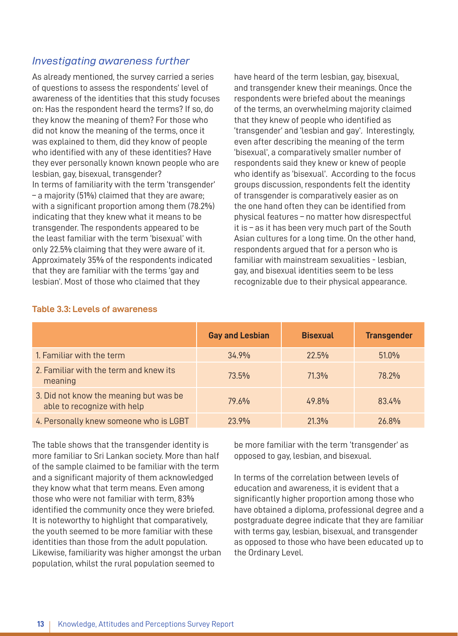#### *Investigating awareness further*

As already mentioned, the survey carried a series of questions to assess the respondents' level of awareness of the identities that this study focuses on: Has the respondent heard the terms? If so, do they know the meaning of them? For those who did not know the meaning of the terms, once it was explained to them, did they know of people who identified with any of these identities? Have they ever personally known known people who are lesbian, gay, bisexual, transgender? In terms of familiarity with the term 'transgender' – a majority (51%) claimed that they are aware; with a significant proportion among them (78.2%) indicating that they knew what it means to be transgender. The respondents appeared to be the least familiar with the term 'bisexual' with only 22.5% claiming that they were aware of it. Approximately 35% of the respondents indicated that they are familiar with the terms 'gay and lesbian'. Most of those who claimed that they

have heard of the term lesbian, gay, bisexual, and transgender knew their meanings. Once the respondents were briefed about the meanings of the terms, an overwhelming majority claimed that they knew of people who identified as 'transgender' and 'lesbian and gay'. Interestingly, even after describing the meaning of the term 'bisexual', a comparatively smaller number of respondents said they knew or knew of people who identify as 'bisexual'. According to the focus groups discussion, respondents felt the identity of transgender is comparatively easier as on the one hand often they can be identified from physical features – no matter how disrespectful it is – as it has been very much part of the South Asian cultures for a long time. On the other hand, respondents argued that for a person who is familiar with mainstream sexualities - lesbian, gay, and bisexual identities seem to be less recognizable due to their physical appearance.

|                                                                       | <b>Gay and Lesbian</b> | <b>Bisexual</b> | <b>Transgender</b> |
|-----------------------------------------------------------------------|------------------------|-----------------|--------------------|
| 1. Familiar with the term                                             | 34.9%                  | 22.5%           | $51.0\%$           |
| 2. Familiar with the term and knew its<br>meaning                     | 73.5%                  | 71.3%           | 78.2%              |
| 3. Did not know the meaning but was be<br>able to recognize with help | 79.6%                  | $49.8\%$        | 83.4%              |
| 4. Personally knew someone who is LGBT                                | 23.9%                  | 21.3%           | $26.8\%$           |

#### **Table 3.3: Levels of awareness**

The table shows that the transgender identity is more familiar to Sri Lankan society. More than half of the sample claimed to be familiar with the term and a significant majority of them acknowledged they know what that term means. Even among those who were not familiar with term, 83% identified the community once they were briefed. It is noteworthy to highlight that comparatively, the youth seemed to be more familiar with these identities than those from the adult population. Likewise, familiarity was higher amongst the urban population, whilst the rural population seemed to

be more familiar with the term 'transgender' as opposed to gay, lesbian, and bisexual.

In terms of the correlation between levels of education and awareness, it is evident that a significantly higher proportion among those who have obtained a diploma, professional degree and a postgraduate degree indicate that they are familiar with terms gay, lesbian, bisexual, and transgender as opposed to those who have been educated up to the Ordinary Level.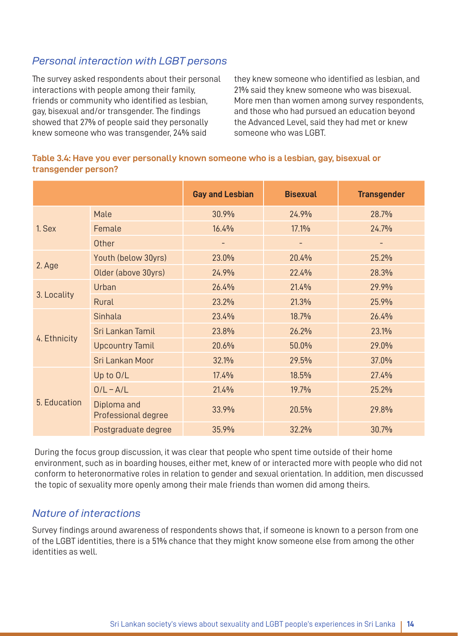#### *Personal interaction with LGBT persons*

The survey asked respondents about their personal interactions with people among their family, friends or community who identified as lesbian, gay, bisexual and/or transgender. The findings showed that 27% of people said they personally knew someone who was transgender, 24% said

they knew someone who identified as lesbian, and 21% said they knew someone who was bisexual. More men than women among survey respondents, and those who had pursued an education beyond the Advanced Level, said they had met or knew someone who was LGBT.

#### **Table 3.4: Have you ever personally known someone who is a lesbian, gay, bisexual or transgender person?**

|              |                                    | <b>Gay and Lesbian</b> | <b>Bisexual</b>          | <b>Transgender</b>       |
|--------------|------------------------------------|------------------------|--------------------------|--------------------------|
|              | Male                               | 30.9%                  | 24.9%                    | 28.7%                    |
| 1. Sex       | Female                             | 16.4%                  | 17.1%                    | 24.7%                    |
|              | Other                              | -                      | $\overline{\phantom{a}}$ | $\overline{\phantom{a}}$ |
|              | Youth (below 30yrs)                | 23.0%                  | 20.4%                    | 25.2%                    |
| 2. Age       | Older (above 30yrs)                | 24.9%                  | 22.4%                    | 28.3%                    |
| 3. Locality  | Urban                              | 26.4%                  | 21.4%                    | 29.9%                    |
|              | Rural                              | 23.2%                  | 21.3%                    | 25.9%                    |
|              | Sinhala                            | 23.4%                  | 18.7%                    | 26.4%                    |
|              | Sri Lankan Tamil                   | 23.8%                  | 26.2%                    | 23.1%                    |
| 4. Ethnicity | <b>Upcountry Tamil</b>             | 20.6%                  | 50.0%                    | 29.0%                    |
|              | Sri Lankan Moor                    | 32.1%                  | 29.5%                    | 37.0%                    |
|              | Up to O/L                          | 17.4%                  | 18.5%                    | 27.4%                    |
|              | $O/L - A/L$                        | 21.4%                  | 19.7%                    | 25.2%                    |
| 5. Education | Diploma and<br>Professional degree | 33.9%                  | 20.5%                    | 29.8%                    |
|              | Postgraduate degree                | 35.9%                  | 32.2%                    | 30.7%                    |

During the focus group discussion, it was clear that people who spent time outside of their home environment, such as in boarding houses, either met, knew of or interacted more with people who did not conform to heteronormative roles in relation to gender and sexual orientation. In addition, men discussed the topic of sexuality more openly among their male friends than women did among theirs.

#### *Nature of interactions*

Survey findings around awareness of respondents shows that, if someone is known to a person from one of the LGBT identities, there is a 51% chance that they might know someone else from among the other identities as well.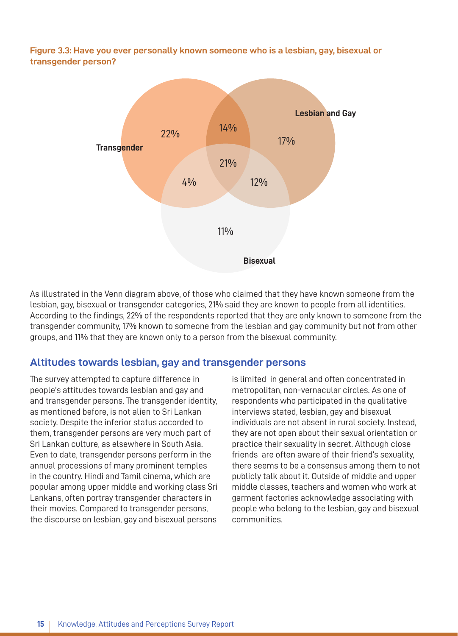**Figure 3.3: Have you ever personally known someone who is a lesbian, gay, bisexual or transgender person?**



As illustrated in the Venn diagram above, of those who claimed that they have known someone from the lesbian, gay, bisexual or transgender categories, 21% said they are known to people from all identities. According to the findings, 22% of the respondents reported that they are only known to someone from the transgender community, 17% known to someone from the lesbian and gay community but not from other groups, and 11% that they are known only to a person from the bisexual community.

#### **Altitudes towards lesbian, gay and transgender persons**

The survey attempted to capture difference in people's attitudes towards lesbian and gay and and transgender persons. The transgender identity, as mentioned before, is not alien to Sri Lankan society. Despite the inferior status accorded to them, transgender persons are very much part of Sri Lankan culture, as elsewhere in South Asia. Even to date, transgender persons perform in the annual processions of many prominent temples in the country. Hindi and Tamil cinema, which are popular among upper middle and working class Sri Lankans, often portray transgender characters in their movies. Compared to transgender persons, the discourse on lesbian, gay and bisexual persons

is limited in general and often concentrated in metropolitan, non-vernacular circles. As one of respondents who participated in the qualitative interviews stated, lesbian, gay and bisexual individuals are not absent in rural society. Instead, they are not open about their sexual orientation or practice their sexuality in secret. Although close friends are often aware of their friend's sexuality, there seems to be a consensus among them to not publicly talk about it. Outside of middle and upper middle classes, teachers and women who work at garment factories acknowledge associating with people who belong to the lesbian, gay and bisexual communities.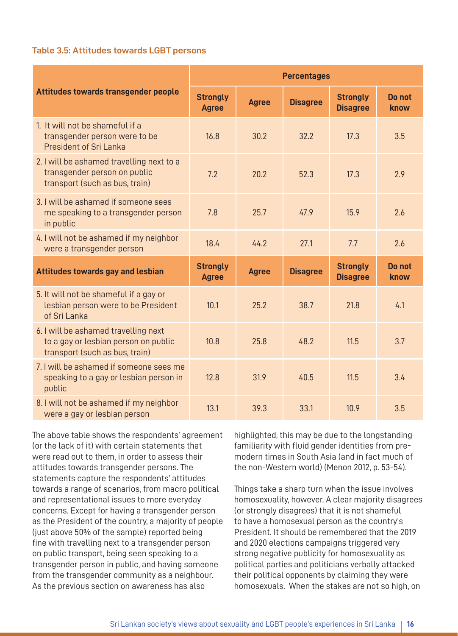#### **Table 3.5: Attitudes towards LGBT persons**

|                                                                                                                | <b>Percentages</b>              |              |                 |                                    |                |  |
|----------------------------------------------------------------------------------------------------------------|---------------------------------|--------------|-----------------|------------------------------------|----------------|--|
| Attitudes towards transgender people                                                                           | <b>Strongly</b><br><b>Agree</b> | <b>Agree</b> | <b>Disagree</b> | <b>Strongly</b><br><b>Disagree</b> | Do not<br>know |  |
| 1. It will not be shameful if a<br>transgender person were to be<br><b>President of Sri Lanka</b>              | 16.8                            | 30.2         | 32.2            | 17.3                               | 3.5            |  |
| 2. I will be ashamed travelling next to a<br>transgender person on public<br>transport (such as bus, train)    | 7.2                             | 20.2         | 52.3            | 17.3                               | 2.9            |  |
| 3. I will be ashamed if someone sees<br>me speaking to a transgender person<br>in public                       | 7.8                             | 25.7         | 47.9            | 15.9                               | 2.6            |  |
| 4. I will not be ashamed if my neighbor<br>were a transgender person                                           | 18.4                            | 44.2         | 27.1            | 7.7                                | 2.6            |  |
| <b>Attitudes towards gay and lesbian</b>                                                                       | <b>Strongly</b><br><b>Agree</b> | <b>Agree</b> | <b>Disagree</b> | <b>Strongly</b><br><b>Disagree</b> | Do not<br>know |  |
| 5. It will not be shameful if a gay or<br>lesbian person were to be President<br>of Sri Lanka                  | 10.1                            | 25.2         | 38.7            | 21.8                               | 4.1            |  |
| 6. I will be ashamed travelling next<br>to a gay or lesbian person on public<br>transport (such as bus, train) | 10.8                            | 25.8         | 48.2            | 11.5                               | 3.7            |  |
| 7. I will be ashamed if someone sees me<br>speaking to a gay or lesbian person in<br>public                    | 12.8                            | 31.9         | 40.5            | 11.5                               | 3.4            |  |
| 8. I will not be ashamed if my neighbor<br>were a gay or lesbian person                                        | 13.1                            | 39.3         | 33.1            | 10.9                               | 3.5            |  |

The above table shows the respondents' agreement (or the lack of it) with certain statements that were read out to them, in order to assess their attitudes towards transgender persons. The statements capture the respondents' attitudes towards a range of scenarios, from macro political and representational issues to more everyday concerns. Except for having a transgender person as the President of the country, a majority of people (just above 50% of the sample) reported being fine with travelling next to a transgender person on public transport, being seen speaking to a transgender person in public, and having someone from the transgender community as a neighbour. As the previous section on awareness has also

highlighted, this may be due to the longstanding familiarity with fluid gender identities from premodern times in South Asia (and in fact much of the non-Western world) (Menon 2012, p. 53-54).

Things take a sharp turn when the issue involves homosexuality, however. A clear majority disagrees (or strongly disagrees) that it is not shameful to have a homosexual person as the country's President. It should be remembered that the 2019 and 2020 elections campaigns triggered very strong negative publicity for homosexuality as political parties and politicians verbally attacked their political opponents by claiming they were homosexuals. When the stakes are not so high, on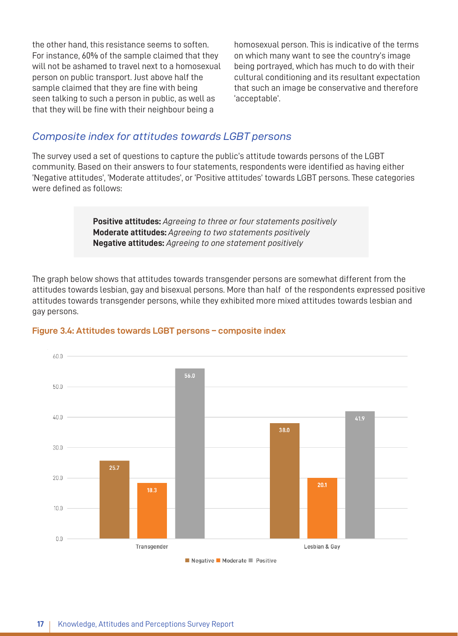the other hand, this resistance seems to soften. For instance, 60% of the sample claimed that they will not be ashamed to travel next to a homosexual person on public transport. Just above half the sample claimed that they are fine with being seen talking to such a person in public, as well as that they will be fine with their neighbour being a

homosexual person. This is indicative of the terms on which many want to see the country's image being portrayed, which has much to do with their cultural conditioning and its resultant expectation that such an image be conservative and therefore 'acceptable'.

#### *Composite index for attitudes towards LGBT persons*

The survey used a set of questions to capture the public's attitude towards persons of the LGBT community. Based on their answers to four statements, respondents were identified as having either 'Negative attitudes', 'Moderate attitudes', or 'Positive attitudes' towards LGBT persons. These categories were defined as follows:

> **Positive attitudes:** *Agreeing to three or four statements positively* **Moderate attitudes:** *Agreeing to two statements positively* **Negative attitudes:** *Agreeing to one statement positively*

The graph below shows that attitudes towards transgender persons are somewhat different from the attitudes towards lesbian, gay and bisexual persons. More than half of the respondents expressed positive attitudes towards transgender persons, while they exhibited more mixed attitudes towards lesbian and gay persons.



#### **Figure 3.4: Attitudes towards LGBT persons – composite index**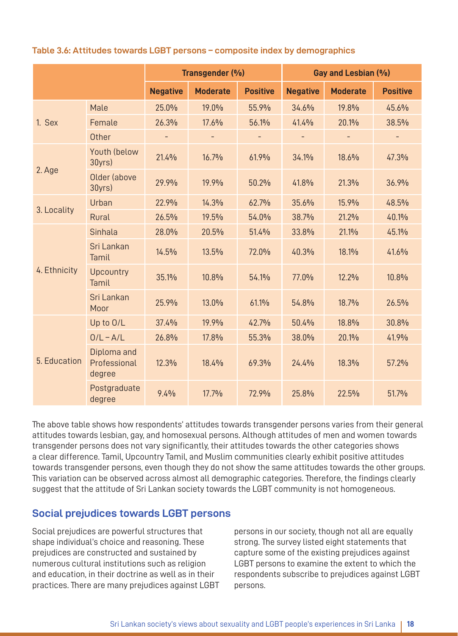|              |                                       | Transgender (%) |                 |                 | Gay and Lesbian (%) |                 |                 |  |
|--------------|---------------------------------------|-----------------|-----------------|-----------------|---------------------|-----------------|-----------------|--|
|              |                                       | <b>Negative</b> | <b>Moderate</b> | <b>Positive</b> | <b>Negative</b>     | <b>Moderate</b> | <b>Positive</b> |  |
|              | Male                                  | 25.0%           | 19.0%           | 55.9%           | 34.6%               | 19.8%           | 45.6%           |  |
| 1. Sex       | Female                                | 26.3%           | 17.6%           | 56.1%           | 41.4%               | 20.1%           | 38.5%           |  |
|              | <b>Other</b>                          |                 |                 |                 |                     |                 |                 |  |
| 2. Age       | Youth (below<br>30yrs)                | 21.4%           | 16.7%           | 61.9%           | 34.1%               | 18.6%           | 47.3%           |  |
|              | Older (above<br>30yrs)                | 29.9%           | 19.9%           | 50.2%           | 41.8%               | 21.3%           | 36.9%           |  |
| 3. Locality  | Urban                                 | 22.9%           | 14.3%           | 62.7%           | 35.6%               | 15.9%           | 48.5%           |  |
|              | Rural                                 | 26.5%           | 19.5%           | 54.0%           | 38.7%               | 21.2%           | 40.1%           |  |
|              | Sinhala                               | 28.0%           | 20.5%           | 51.4%           | 33.8%               | 21.1%           | 45.1%           |  |
|              | Sri Lankan<br>Tamil                   | 14.5%           | 13.5%           | 72.0%           | 40.3%               | 18.1%           | 41.6%           |  |
| 4. Ethnicity | Upcountry<br>Tamil                    | 35.1%           | 10.8%           | 54.1%           | 77.0%               | 12.2%           | 10.8%           |  |
|              | Sri Lankan<br>Moor                    | 25.9%           | 13.0%           | 61.1%           | 54.8%               | 18.7%           | 26.5%           |  |
|              | Up to O/L                             | 37.4%           | 19.9%           | 42.7%           | 50.4%               | 18.8%           | 30.8%           |  |
|              | $O/L - A/L$                           | 26.8%           | 17.8%           | 55.3%           | 38.0%               | 20.1%           | 41.9%           |  |
| 5. Education | Diploma and<br>Professional<br>degree | 12.3%           | 18.4%           | 69.3%           | 24.4%               | 18.3%           | 57.2%           |  |
|              | Postgraduate<br>degree                | 9.4%            | 17.7%           | 72.9%           | 25.8%               | 22.5%           | 51.7%           |  |

#### **Table 3.6: Attitudes towards LGBT persons – composite index by demographics**

The above table shows how respondents' attitudes towards transgender persons varies from their general attitudes towards lesbian, gay, and homosexual persons. Although attitudes of men and women towards transgender persons does not vary significantly, their attitudes towards the other categories shows a clear difference. Tamil, Upcountry Tamil, and Muslim communities clearly exhibit positive attitudes towards transgender persons, even though they do not show the same attitudes towards the other groups. This variation can be observed across almost all demographic categories. Therefore, the findings clearly suggest that the attitude of Sri Lankan society towards the LGBT community is not homogeneous.

#### **Social prejudices towards LGBT persons**

Social prejudices are powerful structures that shape individual's choice and reasoning. These prejudices are constructed and sustained by numerous cultural institutions such as religion and education, in their doctrine as well as in their practices. There are many prejudices against LGBT persons in our society, though not all are equally strong. The survey listed eight statements that capture some of the existing prejudices against LGBT persons to examine the extent to which the respondents subscribe to prejudices against LGBT persons.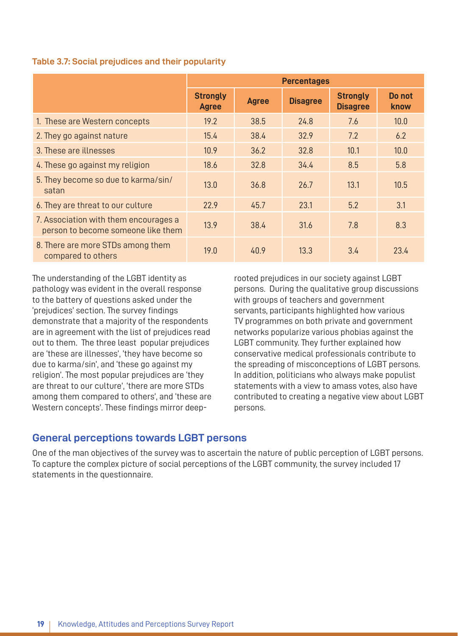#### **Table 3.7: Social prejudices and their popularity**

|                                                                             | <b>Percentages</b>              |              |                 |                                    |                |  |  |
|-----------------------------------------------------------------------------|---------------------------------|--------------|-----------------|------------------------------------|----------------|--|--|
|                                                                             | <b>Strongly</b><br><b>Agree</b> | <b>Agree</b> | <b>Disagree</b> | <b>Strongly</b><br><b>Disagree</b> | Do not<br>know |  |  |
| 1. These are Western concepts                                               | 19.2                            | 38.5         | 24.8            | 7.6                                | 10.0           |  |  |
| 2. They go against nature                                                   | 15.4                            | 38.4         | 32.9            | 7.2                                | 6.2            |  |  |
| 3. These are illnesses                                                      | 10.9                            | 36.2         | 32.8            | 10.1                               | 10.0           |  |  |
| 4. These go against my religion                                             | 18.6                            | 32.8         | 34.4            | 8.5                                | 5.8            |  |  |
| 5. They become so due to karma/sin/<br>satan                                | 13.0                            | 36.8         | 26.7            | 13.1                               | 10.5           |  |  |
| 6. They are threat to our culture                                           | 22.9                            | 45.7         | 23.1            | 5.2                                | 3.1            |  |  |
| 7. Association with them encourages a<br>person to become someone like them | 13.9                            | 38.4         | 31.6            | 7.8                                | 8.3            |  |  |
| 8. There are more STDs among them<br>compared to others                     | 19.0                            | 40.9         | 13.3            | 3.4                                | 23.4           |  |  |

The understanding of the LGBT identity as pathology was evident in the overall response to the battery of questions asked under the 'prejudices' section. The survey findings demonstrate that a majority of the respondents are in agreement with the list of prejudices read out to them. The three least popular prejudices are 'these are illnesses', 'they have become so due to karma/sin', and 'these go against my religion'. The most popular prejudices are 'they are threat to our culture', 'there are more STDs among them compared to others', and 'these are Western concepts'. These findings mirror deep-

rooted prejudices in our society against LGBT persons. During the qualitative group discussions with groups of teachers and government servants, participants highlighted how various TV programmes on both private and government networks popularize various phobias against the LGBT community. They further explained how conservative medical professionals contribute to the spreading of misconceptions of LGBT persons. In addition, politicians who always make populist statements with a view to amass votes, also have contributed to creating a negative view about LGBT persons.

#### **General perceptions towards LGBT persons**

One of the man objectives of the survey was to ascertain the nature of public perception of LGBT persons. To capture the complex picture of social perceptions of the LGBT community, the survey included 17 statements in the questionnaire.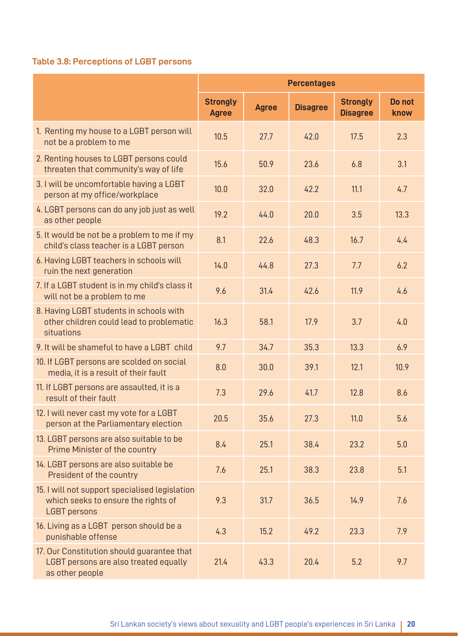#### **Table 3.8: Perceptions of LGBT persons**

|                                                                                                              | <b>Percentages</b>              |              |                 |                                    |                |  |
|--------------------------------------------------------------------------------------------------------------|---------------------------------|--------------|-----------------|------------------------------------|----------------|--|
|                                                                                                              | <b>Strongly</b><br><b>Agree</b> | <b>Agree</b> | <b>Disagree</b> | <b>Strongly</b><br><b>Disagree</b> | Do not<br>know |  |
| 1. Renting my house to a LGBT person will<br>not be a problem to me                                          | 10.5                            | 27.7         | 42.0            | 17.5                               | 2.3            |  |
| 2. Renting houses to LGBT persons could<br>threaten that community's way of life                             | 15.6                            | 50.9         | 23.6            | 6.8                                | 3.1            |  |
| 3. I will be uncomfortable having a LGBT<br>person at my office/workplace                                    | 10.0                            | 32.0         | 42.2            | 11.1                               | 4.7            |  |
| 4. LGBT persons can do any job just as well<br>as other people                                               | 19.2                            | 44.0         | 20.0            | 3.5                                | 13.3           |  |
| 5. It would be not be a problem to me if my<br>child's class teacher is a LGBT person                        | 8.1                             | 22.6         | 48.3            | 16.7                               | 4.4            |  |
| 6. Having LGBT teachers in schools will<br>ruin the next generation                                          | 14.0                            | 44.8         | 27.3            | 7.7                                | 6.2            |  |
| 7. If a LGBT student is in my child's class it<br>will not be a problem to me                                | 9.6                             | 31.4         | 42.6            | 11.9                               | 4.6            |  |
| 8. Having LGBT students in schools with<br>other children could lead to problematic<br>situations            | 16.3                            | 58.1         | 17.9            | 3.7                                | 4.0            |  |
| 9. It will be shameful to have a LGBT child                                                                  | 9.7                             | 34.7         | 35.3            | 13.3                               | 6.9            |  |
| 10. If LGBT persons are scolded on social<br>media, it is a result of their fault                            | 8.0                             | 30.0         | 39.1            | 12.1                               | 10.9           |  |
| 11. If LGBT persons are assaulted, it is a<br>result of their fault                                          | 7.3                             | 29.6         | 41.7            | 12.8                               | 8.6            |  |
| 12. I will never cast my vote for a LGBT<br>person at the Parliamentary election                             | 20.5                            | 35.6         | 27.3            | 11.0                               | 5.6            |  |
| 13. LGBT persons are also suitable to be<br>Prime Minister of the country                                    | 8.4                             | 25.1         | 38.4            | 23.2                               | 5.0            |  |
| 14. LGBT persons are also suitable be<br>President of the country                                            | 7.6                             | 25.1         | 38.3            | 23.8                               | 5.1            |  |
| 15. I will not support specialised legislation<br>which seeks to ensure the rights of<br><b>LGBT</b> persons | 9.3                             | 31.7         | 36.5            | 14.9                               | 7.6            |  |
| 16. Living as a LGBT person should be a<br>punishable offense                                                | 4.3                             | 15.2         | 49.2            | 23.3                               | 7.9            |  |
| 17. Our Constitution should guarantee that<br>LGBT persons are also treated equally<br>as other people       | 21.4                            | 43.3         | 20.4            | 5.2                                | 9.7            |  |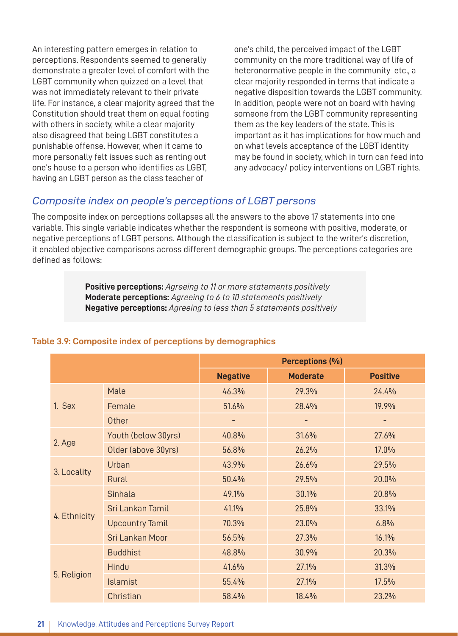An interesting pattern emerges in relation to perceptions. Respondents seemed to generally demonstrate a greater level of comfort with the LGBT community when quizzed on a level that was not immediately relevant to their private life. For instance, a clear majority agreed that the Constitution should treat them on equal footing with others in society, while a clear majority also disagreed that being LGBT constitutes a punishable offense. However, when it came to more personally felt issues such as renting out one's house to a person who identifies as LGBT, having an LGBT person as the class teacher of

one's child, the perceived impact of the LGBT community on the more traditional way of life of heteronormative people in the community etc., a clear majority responded in terms that indicate a negative disposition towards the LGBT community. In addition, people were not on board with having someone from the LGBT community representing them as the key leaders of the state. This is important as it has implications for how much and on what levels acceptance of the LGBT identity may be found in society, which in turn can feed into any advocacy/ policy interventions on LGBT rights.

#### *Composite index on people's perceptions of LGBT persons*

The composite index on perceptions collapses all the answers to the above 17 statements into one variable. This single variable indicates whether the respondent is someone with positive, moderate, or negative perceptions of LGBT persons. Although the classification is subject to the writer's discretion, it enabled objective comparisons across different demographic groups. The perceptions categories are defined as follows:

> **Positive perceptions:** *Agreeing to 11 or more statements positively* **Moderate perceptions:** *Agreeing to 6 to 10 statements positively* **Negative perceptions:** *Agreeing to less than 5 statements positively*

|              |                        | Perceptions (%)              |                          |                 |  |  |
|--------------|------------------------|------------------------------|--------------------------|-----------------|--|--|
|              |                        | <b>Negative</b>              | <b>Moderate</b>          | <b>Positive</b> |  |  |
|              | Male                   | 46.3%                        | 29.3%                    | 24.4%           |  |  |
| 1. Sex       | Female                 | 51.6%                        | 28.4%                    | 19.9%           |  |  |
| <b>Other</b> | -                      | $\qquad \qquad \blacksquare$ | $\overline{\phantom{0}}$ |                 |  |  |
|              | Youth (below 30yrs)    | 40.8%                        | 31.6%                    | 27.6%           |  |  |
| 2. Age       | Older (above 30yrs)    | 56.8%                        | 26.2%                    | 17.0%           |  |  |
|              | Urban                  | 43.9%                        | 26.6%                    | 29.5%           |  |  |
| 3. Locality  | Rural                  | 50.4%                        | 29.5%                    | 20.0%           |  |  |
|              | Sinhala                | 49.1%                        | 30.1%                    | 20.8%           |  |  |
|              | Sri Lankan Tamil       | 41.1%                        | 25.8%                    | 33.1%           |  |  |
| 4. Ethnicity | <b>Upcountry Tamil</b> | 70.3%                        | 23.0%                    | 6.8%            |  |  |
|              | Sri Lankan Moor        | 56.5%                        | 27.3%                    | 16.1%           |  |  |
|              | <b>Buddhist</b>        | 48.8%                        | 30.9%                    | 20.3%           |  |  |
|              | Hindu                  | 41.6%                        | 27.1%                    | 31.3%           |  |  |
| 5. Religion  | <b>Islamist</b>        | 55.4%                        | 27.1%                    | 17.5%           |  |  |
|              | Christian              | 58.4%                        | 18.4%                    | 23.2%           |  |  |

#### **Table 3.9: Composite index of perceptions by demographics**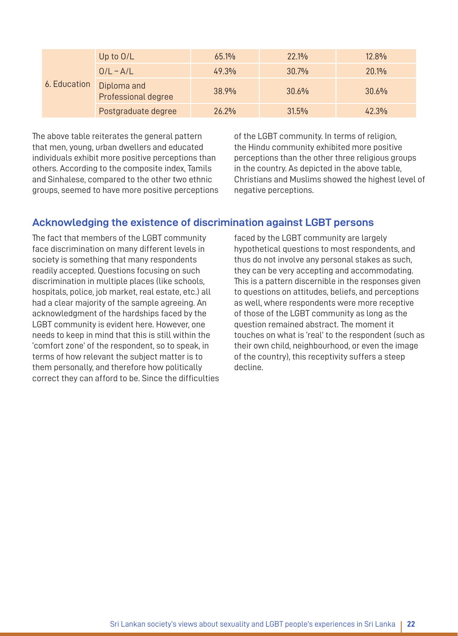| Up to $O/L$  | 65.1%                              | 22.1% | 12.8% |       |
|--------------|------------------------------------|-------|-------|-------|
|              | $O/L - A/L$                        | 49.3% | 30.7% | 20.1% |
| 6. Education | Diploma and<br>Professional degree | 38.9% | 30.6% | 30.6% |
|              | Postgraduate degree                | 26.2% | 31.5% | 42.3% |

The above table reiterates the general pattern that men, young, urban dwellers and educated individuals exhibit more positive perceptions than others. According to the composite index, Tamils and Sinhalese, compared to the other two ethnic groups, seemed to have more positive perceptions of the LGBT community. In terms of religion, the Hindu community exhibited more positive perceptions than the other three religious groups in the country. As depicted in the above table, Christians and Muslims showed the highest level of negative perceptions.

#### **Acknowledging the existence of discrimination against LGBT persons**

The fact that members of the LGBT community face discrimination on many different levels in society is something that many respondents readily accepted. Questions focusing on such discrimination in multiple places (like schools, hospitals, police, job market, real estate, etc.) all had a clear majority of the sample agreeing. An acknowledgment of the hardships faced by the LGBT community is evident here. However, one needs to keep in mind that this is still within the 'comfort zone' of the respondent, so to speak, in terms of how relevant the subject matter is to them personally, and therefore how politically correct they can afford to be. Since the difficulties faced by the LGBT community are largely hypothetical questions to most respondents, and thus do not involve any personal stakes as such, they can be very accepting and accommodating. This is a pattern discernible in the responses given to questions on attitudes, beliefs, and perceptions as well, where respondents were more receptive of those of the LGBT community as long as the question remained abstract. The moment it touches on what is 'real' to the respondent (such as their own child, neighbourhood, or even the image of the country), this receptivity suffers a steep decline.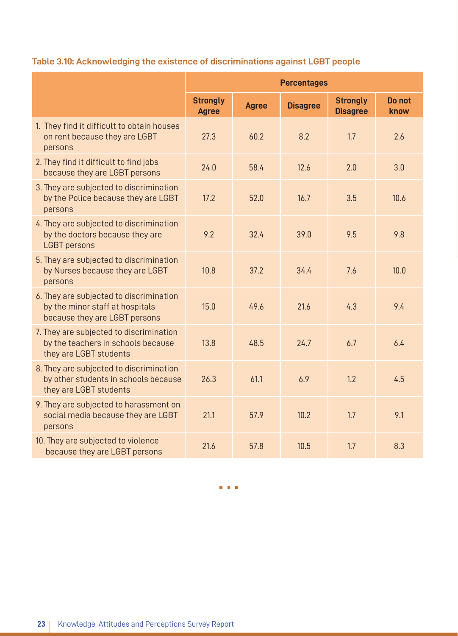#### **Table 3.10: Acknowledging the existence of discriminations against LGBT people**

|                                                                                                             | <b>Percentages</b>              |              |                 |                                    |                |  |
|-------------------------------------------------------------------------------------------------------------|---------------------------------|--------------|-----------------|------------------------------------|----------------|--|
|                                                                                                             | <b>Strongly</b><br><b>Agree</b> | <b>Agree</b> | <b>Disagree</b> | <b>Strongly</b><br><b>Disagree</b> | Do not<br>know |  |
| 1. They find it difficult to obtain houses<br>on rent because they are LGBT<br>persons                      | 27.3                            | 60.2         | 8.2             | 1.7                                | 2.6            |  |
| 2. They find it difficult to find jobs<br>because they are LGBT persons                                     | 24.0                            | 58.4         | 12.6            | 2.0                                | 3.0            |  |
| 3. They are subjected to discrimination<br>by the Police because they are LGBT<br>persons                   | 17.2                            | 52.0         | 16.7            | 3.5                                | 10.6           |  |
| 4. They are subjected to discrimination<br>by the doctors because they are<br><b>LGBT</b> persons           | 9.2                             | 32.4         | 39.0            | 9.5                                | 9.8            |  |
| 5. They are subjected to discrimination<br>by Nurses because they are LGBT<br>persons                       | 10.8                            | 37.2         | 34.4            | 7.6                                | 10.0           |  |
| 6. They are subjected to discrimination<br>by the minor staff at hospitals<br>because they are LGBT persons | 15.0                            | 49.6         | 21.6            | 4.3                                | 9.4            |  |
| 7. They are subjected to discrimination<br>by the teachers in schools because<br>they are LGBT students     | 13.8                            | 48.5         | 24.7            | 6.7                                | 6.4            |  |
| 8. They are subjected to discrimination<br>by other students in schools because<br>they are LGBT students   | 26.3                            | 61.1         | 6.9             | 1.2                                | 4.5            |  |
| 9. They are subjected to harassment on<br>social media because they are LGBT<br>persons                     | 21.1                            | 57.9         | 10.2            | 1.7                                | 9.1            |  |
| 10. They are subjected to violence<br>because they are LGBT persons                                         | 21.6                            | 57.8         | 10.5            | 1.7                                | 8.3            |  |

 $\mathbf{H}=\mathbf{H}+\mathbf{H}$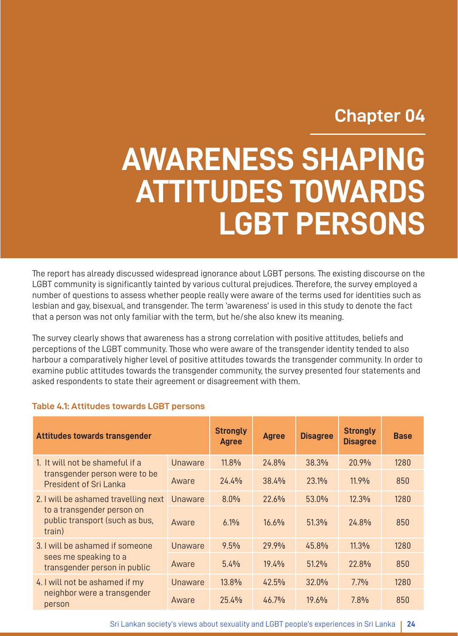## **Chapter 04**

# **AWARENESS SHAPING ATTITUDES TOWARDS LGBT PERSONS**

The report has already discussed widespread ignorance about LGBT persons. The existing discourse on the LGBT community is significantly tainted by various cultural prejudices. Therefore, the survey employed a number of questions to assess whether people really were aware of the terms used for identities such as lesbian and gay, bisexual, and transgender. The term 'awareness' is used in this study to denote the fact that a person was not only familiar with the term, but he/she also knew its meaning.

The survey clearly shows that awareness has a strong correlation with positive attitudes, beliefs and perceptions of the LGBT community. Those who were aware of the transgender identity tended to also harbour a comparatively higher level of positive attitudes towards the transgender community. In order to examine public attitudes towards the transgender community, the survey presented four statements and asked respondents to state their agreement or disagreement with them.

| Table 4.1: Attitudes towards LGBT persons |  |  |  |
|-------------------------------------------|--|--|--|
|-------------------------------------------|--|--|--|

| <b>Attitudes towards transgender</b>                                                                           |         | <b>Strongly</b><br>Agree | Agree | <b>Disagree</b> | <b>Strongly</b><br><b>Disagree</b> | <b>Base</b> |
|----------------------------------------------------------------------------------------------------------------|---------|--------------------------|-------|-----------------|------------------------------------|-------------|
| 1. It will not be shameful if a                                                                                | Unaware | $11.8\%$                 | 24.8% | 38.3%           | 20.9%                              | 1280        |
| transgender person were to be<br>President of Sri Lanka                                                        | Aware   | 24.4%                    | 38.4% | $23.1\%$        | 11.9%                              | 850         |
| 2. I will be ashamed travelling next<br>to a transgender person on<br>public transport (such as bus,<br>train) | Unaware | 8.0%                     | 22.6% | 53.0%           | 12.3%                              | 1280        |
|                                                                                                                | Aware   | 6.1%                     | 16.6% | 51.3%           | 24.8%                              | 850         |
| 3. I will be ashamed if someone                                                                                | Unaware | 9.5%                     | 29.9% | 45.8%           | 11.3%                              | 1280        |
| sees me speaking to a<br>transgender person in public                                                          | Aware   | 5.4%                     | 19.4% | 51.2%           | 22.8%                              | 850         |
| 4. I will not be ashamed if my                                                                                 | Unaware | $13.8\%$                 | 42.5% | 32.0%           | 7.7%                               | 1280        |
| neighbor were a transgender<br>person                                                                          | Aware   | 25.4%                    | 46.7% | 19.6%           | 7.8%                               | 850         |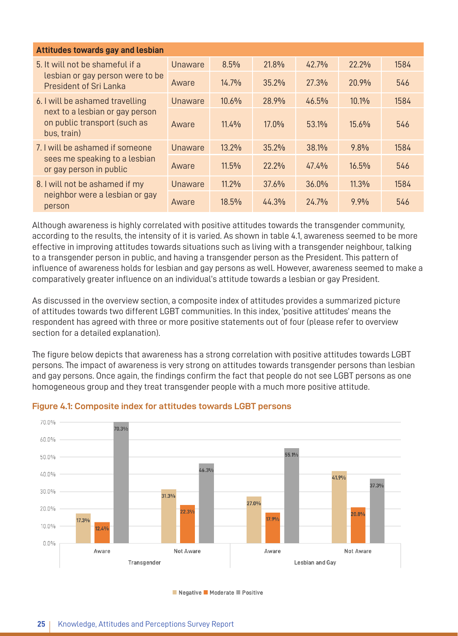| Attitudes towards gay and lesbian                                                                                 |         |          |          |          |       |      |
|-------------------------------------------------------------------------------------------------------------------|---------|----------|----------|----------|-------|------|
| 5. It will not be shameful if a<br>lesbian or gay person were to be<br>President of Sri Lanka                     | Unaware | 8.5%     | $21.8\%$ | $42.7\%$ | 22.2% | 1584 |
|                                                                                                                   | Aware   | 14.7%    | 35.2%    | 27.3%    | 20.9% | 546  |
| 6. I will be ashamed travelling<br>next to a lesbian or gay person<br>on public transport (such as<br>bus, train) | Unaware | 10.6%    | 28.9%    | 46.5%    | 10.1% | 1584 |
|                                                                                                                   | Aware   | $11.4\%$ | $17.0\%$ | 53.1%    | 15.6% | 546  |
| 7. I will be ashamed if someone                                                                                   | Unaware | 13.2%    | 35.2%    | 38.1%    | 9.8%  | 1584 |
| sees me speaking to a lesbian<br>or gay person in public                                                          | Aware   | 11.5%    | 22.2%    | 47.4%    | 16.5% | 546  |
| 8. I will not be ashamed if my                                                                                    | Unaware | $11.2\%$ | 37.6%    | 36.0%    | 11.3% | 1584 |
| neighbor were a lesbian or gay<br>person                                                                          | Aware   | 18.5%    | 44.3%    | 24.7%    | 9.9%  | 546  |

Although awareness is highly correlated with positive attitudes towards the transgender community, according to the results, the intensity of it is varied. As shown in table 4.1, awareness seemed to be more effective in improving attitudes towards situations such as living with a transgender neighbour, talking to a transgender person in public, and having a transgender person as the President. This pattern of influence of awareness holds for lesbian and gay persons as well. However, awareness seemed to make a comparatively greater influence on an individual's attitude towards a lesbian or gay President.

As discussed in the overview section, a composite index of attitudes provides a summarized picture of attitudes towards two different LGBT communities. In this index, 'positive attitudes' means the respondent has agreed with three or more positive statements out of four (please refer to overview section for a detailed explanation).

The figure below depicts that awareness has a strong correlation with positive attitudes towards LGBT persons. The impact of awareness is very strong on attitudes towards transgender persons than lesbian and gay persons. Once again, the findings confirm the fact that people do not see LGBT persons as one homogeneous group and they treat transgender people with a much more positive attitude.



#### **Figure 4.1: Composite index for attitudes towards LGBT persons**

 $\blacksquare$  Negative  $\blacksquare$  Moderate  $\blacksquare$  Positive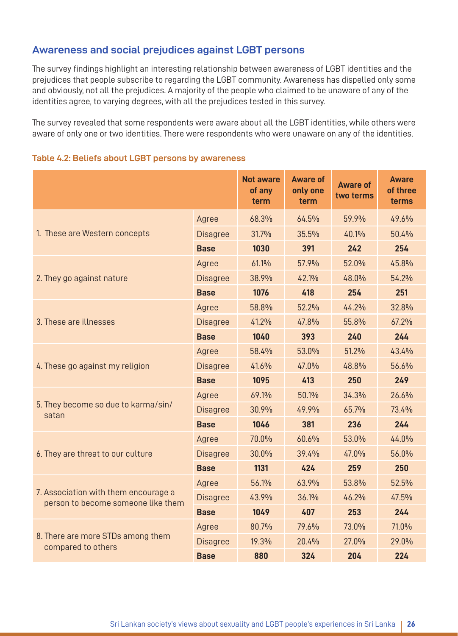#### **Awareness and social prejudices against LGBT persons**

The survey findings highlight an interesting relationship between awareness of LGBT identities and the prejudices that people subscribe to regarding the LGBT community. Awareness has dispelled only some and obviously, not all the prejudices. A majority of the people who claimed to be unaware of any of the identities agree, to varying degrees, with all the prejudices tested in this survey.

The survey revealed that some respondents were aware about all the LGBT identities, while others were aware of only one or two identities. There were respondents who were unaware on any of the identities.

|                                                                            |                 | <b>Not aware</b><br>of any<br>term | <b>Aware of</b><br>only one<br>term | <b>Aware of</b><br>two terms | <b>Aware</b><br>of three<br>terms |
|----------------------------------------------------------------------------|-----------------|------------------------------------|-------------------------------------|------------------------------|-----------------------------------|
|                                                                            | Agree           | 68.3%                              | 64.5%                               | 59.9%                        | 49.6%                             |
| 1. These are Western concepts                                              | <b>Disagree</b> | 31.7%                              | 35.5%                               | 40.1%                        | 50.4%                             |
|                                                                            | <b>Base</b>     | 1030                               | 391                                 | 242                          | 254                               |
|                                                                            | Agree           | 61.1%                              | 57.9%                               | 52.0%                        | 45.8%                             |
| 2. They go against nature                                                  | <b>Disagree</b> | 38.9%                              | 42.1%                               | 48.0%                        | 54.2%                             |
|                                                                            | <b>Base</b>     | 1076                               | 418                                 | 254                          | 251                               |
|                                                                            | Agree           | 58.8%                              | 52.2%                               | 44.2%                        | 32.8%                             |
| 3. These are illnesses                                                     | <b>Disagree</b> | 41.2%                              | 47.8%                               | 55.8%                        | 67.2%                             |
|                                                                            | <b>Base</b>     | 1040                               | 393                                 | 240                          | 244                               |
|                                                                            | Agree           | 58.4%                              | 53.0%                               | 51.2%                        | 43.4%                             |
| 4. These go against my religion                                            | <b>Disagree</b> | 41.6%                              | 47.0%                               | 48.8%                        | 56.6%                             |
|                                                                            | <b>Base</b>     | 1095                               | 413                                 | 250                          | 249                               |
|                                                                            | Agree           | 69.1%                              | 50.1%                               | 34.3%                        | 26.6%                             |
| 5. They become so due to karma/sin/<br>satan                               | <b>Disagree</b> | 30.9%                              | 49.9%                               | 65.7%                        | 73.4%                             |
|                                                                            | <b>Base</b>     | 1046                               | 381                                 | 236                          | 244                               |
|                                                                            | Agree           | 70.0%                              | 60.6%                               | 53.0%                        | 44.0%                             |
| 6. They are threat to our culture                                          | <b>Disagree</b> | 30.0%                              | 39.4%                               | 47.0%                        | 56.0%                             |
|                                                                            | <b>Base</b>     | 1131                               | 424                                 | 259                          | 250                               |
|                                                                            | Agree           | 56.1%                              | 63.9%                               | 53.8%                        | 52.5%                             |
| 7. Association with them encourage a<br>person to become someone like them | <b>Disagree</b> | 43.9%                              | 36.1%                               | 46.2%                        | 47.5%                             |
|                                                                            | <b>Base</b>     | 1049                               | 407                                 | 253                          | 244                               |
|                                                                            | Agree           | 80.7%                              | 79.6%                               | 73.0%                        | 71.0%                             |
| 8. There are more STDs among them<br>compared to others                    | <b>Disagree</b> | 19.3%                              | 20.4%                               | 27.0%                        | 29.0%                             |
|                                                                            | <b>Base</b>     | 880                                | 324                                 | 204                          | 224                               |

#### **Table 4.2: Beliefs about LGBT persons by awareness**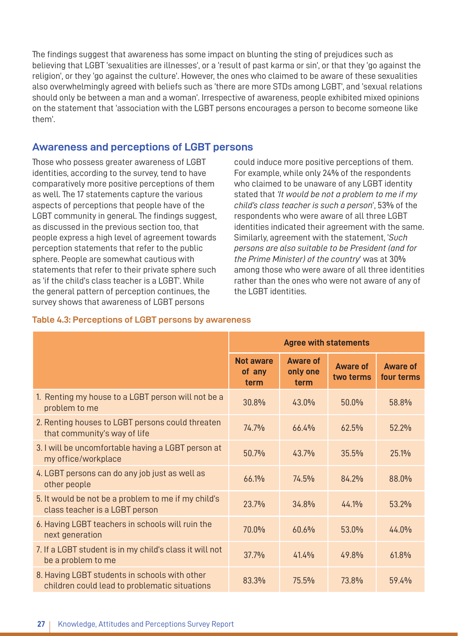The findings suggest that awareness has some impact on blunting the sting of prejudices such as believing that LGBT 'sexualities are illnesses', or a 'result of past karma or sin', or that they 'go against the religion', or they 'go against the culture'. However, the ones who claimed to be aware of these sexualities also overwhelmingly agreed with beliefs such as 'there are more STDs among LGBT', and 'sexual relations should only be between a man and a woman'. Irrespective of awareness, people exhibited mixed opinions on the statement that 'association with the LGBT persons encourages a person to become someone like them'.

#### **Awareness and perceptions of LGBT persons**

Those who possess greater awareness of LGBT identities, according to the survey, tend to have comparatively more positive perceptions of them as well. The 17 statements capture the various aspects of perceptions that people have of the LGBT community in general. The findings suggest, as discussed in the previous section too, that people express a high level of agreement towards perception statements that refer to the public sphere. People are somewhat cautious with statements that refer to their private sphere such as 'if the child's class teacher is a LGBT'. While the general pattern of perception continues, the survey shows that awareness of LGBT persons

could induce more positive perceptions of them. For example, while only 24% of the respondents who claimed to be unaware of any LGBT identity stated that *'It would be not a problem to me if my child's class teacher is such a person*', 53% of the respondents who were aware of all three LGBT identities indicated their agreement with the same. Similarly, agreement with the statement, '*Such persons are also suitable to be President (and for the Prime Minister) of the country*' was at 30% among those who were aware of all three identities rather than the ones who were not aware of any of the LGBT identities.

|                                                                                                | <b>Not aware</b><br>of any<br>term | <b>Aware of</b><br>only one<br>term | <b>Aware of</b><br>two terms | Aware of<br>four terms |
|------------------------------------------------------------------------------------------------|------------------------------------|-------------------------------------|------------------------------|------------------------|
| 1. Renting my house to a LGBT person will not be a<br>problem to me                            | 30.8%                              | 43.0%                               | 50.0%                        | 58.8%                  |
| 2. Renting houses to LGBT persons could threaten<br>that community's way of life               | 74.7%                              | 66.4%                               | 62.5%                        | 52.2%                  |
| 3. I will be uncomfortable having a LGBT person at<br>my office/workplace                      | 50.7%                              | 43.7%                               | 35.5%                        | 25.1%                  |
| 4. LGBT persons can do any job just as well as<br>other people                                 | 66.1%                              | 74.5%                               | 84.2%                        | 88.0%                  |
| 5. It would be not be a problem to me if my child's<br>class teacher is a LGBT person          | 23.7%                              | 34.8%                               | 44.1%                        | 53.2%                  |
| 6. Having LGBT teachers in schools will ruin the<br>next generation                            | 70.0%                              | 60.6%                               | 53.0%                        | 44.0%                  |
| 7. If a LGBT student is in my child's class it will not<br>be a problem to me                  | 37.7%                              | 41.4%                               | 49.8%                        | 61.8%                  |
| 8. Having LGBT students in schools with other<br>children could lead to problematic situations | 83.3%                              | 75.5%                               | 73.8%                        | 59.4%                  |

#### **Table 4.3: Perceptions of LGBT persons by awareness**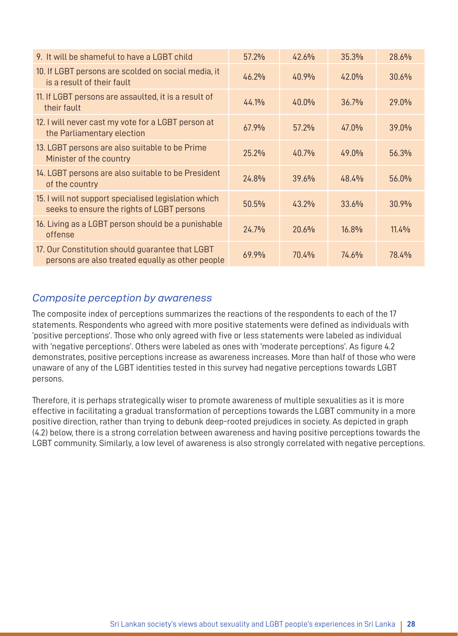| 9. It will be shameful to have a LGBT child                                                         | 57.2% | 42.6% | 35.3% | 28.6%    |
|-----------------------------------------------------------------------------------------------------|-------|-------|-------|----------|
| 10. If LGBT persons are scolded on social media, it<br>is a result of their fault                   | 46.2% | 40.9% | 42.0% | 30.6%    |
| 11. If LGBT persons are assaulted, it is a result of<br>their fault                                 | 44.1% | 40.0% | 36.7% | 29.0%    |
| 12. I will never cast my vote for a LGBT person at<br>the Parliamentary election                    | 67.9% | 57.2% | 47.0% | 39.0%    |
| 13. LGBT persons are also suitable to be Prime<br>Minister of the country                           | 25.2% | 40.7% | 49.0% | 56.3%    |
| 14. LGBT persons are also suitable to be President<br>of the country                                | 24.8% | 39.6% | 48.4% | 56.0%    |
| 15. I will not support specialised legislation which<br>seeks to ensure the rights of LGBT persons  | 50.5% | 43.2% | 33.6% | 30.9%    |
| 16. Living as a LGBT person should be a punishable<br>offense                                       | 24.7% | 20.6% | 16.8% | $11.4\%$ |
| 17. Our Constitution should guarantee that LGBT<br>persons are also treated equally as other people | 69.9% | 70.4% | 74.6% | 78.4%    |

#### *Composite perception by awareness*

The composite index of perceptions summarizes the reactions of the respondents to each of the 17 statements. Respondents who agreed with more positive statements were defined as individuals with 'positive perceptions'. Those who only agreed with five or less statements were labeled as individual with 'negative perceptions'. Others were labeled as ones with 'moderate perceptions'. As figure 4.2 demonstrates, positive perceptions increase as awareness increases. More than half of those who were unaware of any of the LGBT identities tested in this survey had negative perceptions towards LGBT persons.

Therefore, it is perhaps strategically wiser to promote awareness of multiple sexualities as it is more effective in facilitating a gradual transformation of perceptions towards the LGBT community in a more positive direction, rather than trying to debunk deep-rooted prejudices in society. As depicted in graph (4.2) below, there is a strong correlation between awareness and having positive perceptions towards the LGBT community. Similarly, a low level of awareness is also strongly correlated with negative perceptions.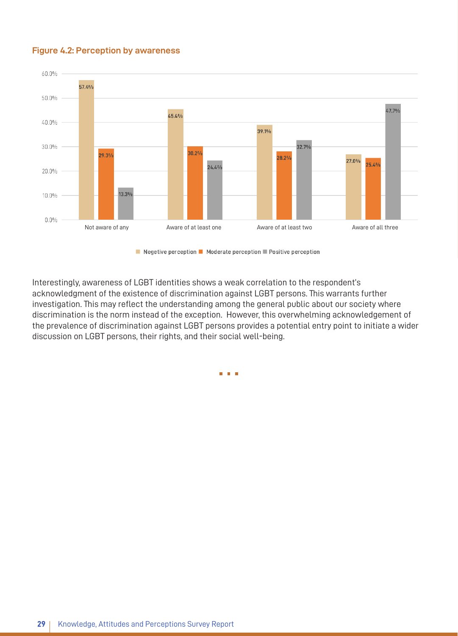#### **Figure 4.2: Perception by awareness**



Interestingly, awareness of LGBT identities shows a weak correlation to the respondent's acknowledgment of the existence of discrimination against LGBT persons. This warrants further investigation. This may reflect the understanding among the general public about our society where discrimination is the norm instead of the exception. However, this overwhelming acknowledgement of the prevalence of discrimination against LGBT persons provides a potential entry point to initiate a wider discussion on LGBT persons, their rights, and their social well-being.

**DOM: N**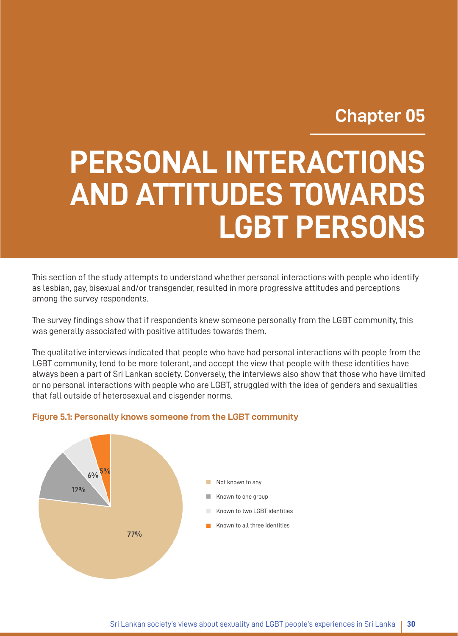## **Chapter 05**

# **PERSONAL INTERACTIONS AND ATTITUDES TOWARDS LGBT PERSONS**

This section of the study attempts to understand whether personal interactions with people who identify as lesbian, gay, bisexual and/or transgender, resulted in more progressive attitudes and perceptions among the survey respondents.

The survey findings show that if respondents knew someone personally from the LGBT community, this was generally associated with positive attitudes towards them.

The qualitative interviews indicated that people who have had personal interactions with people from the LGBT community, tend to be more tolerant, and accept the view that people with these identities have always been a part of Sri Lankan society. Conversely, the interviews also show that those who have limited or no personal interactions with people who are LGBT, struggled with the idea of genders and sexualities that fall outside of heterosexual and cisgender norms.



#### **Figure 5.1: Personally knows someone from the LGBT community**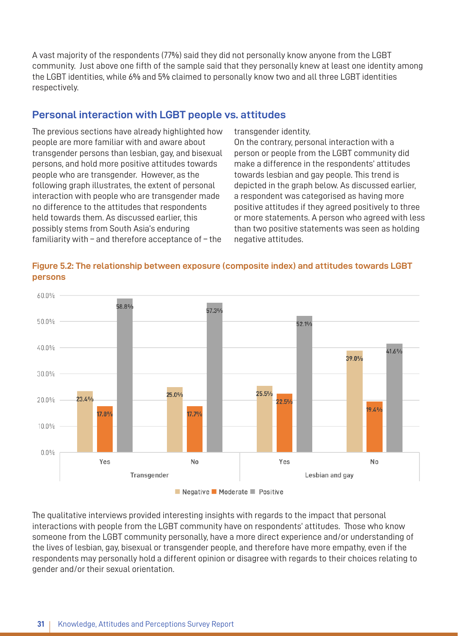A vast majority of the respondents (77%) said they did not personally know anyone from the LGBT community. Just above one fifth of the sample said that they personally knew at least one identity among the LGBT identities, while 6% and 5% claimed to personally know two and all three LGBT identities respectively.

#### **Personal interaction with LGBT people vs. attitudes**

The previous sections have already highlighted how people are more familiar with and aware about transgender persons than lesbian, gay, and bisexual persons, and hold more positive attitudes towards people who are transgender. However, as the following graph illustrates, the extent of personal interaction with people who are transgender made no difference to the attitudes that respondents held towards them. As discussed earlier, this possibly stems from South Asia's enduring familiarity with – and therefore acceptance of – the

transgender identity.

On the contrary, personal interaction with a person or people from the LGBT community did make a difference in the respondents' attitudes towards lesbian and gay people. This trend is depicted in the graph below. As discussed earlier, a respondent was categorised as having more positive attitudes if they agreed positively to three or more statements. A person who agreed with less than two positive statements was seen as holding negative attitudes.



#### **Figure 5.2: The relationship between exposure (composite index) and attitudes towards LGBT persons**

The qualitative interviews provided interesting insights with regards to the impact that personal interactions with people from the LGBT community have on respondents' attitudes. Those who know someone from the LGBT community personally, have a more direct experience and/or understanding of the lives of lesbian, gay, bisexual or transgender people, and therefore have more empathy, even if the respondents may personally hold a different opinion or disagree with regards to their choices relating to gender and/or their sexual orientation.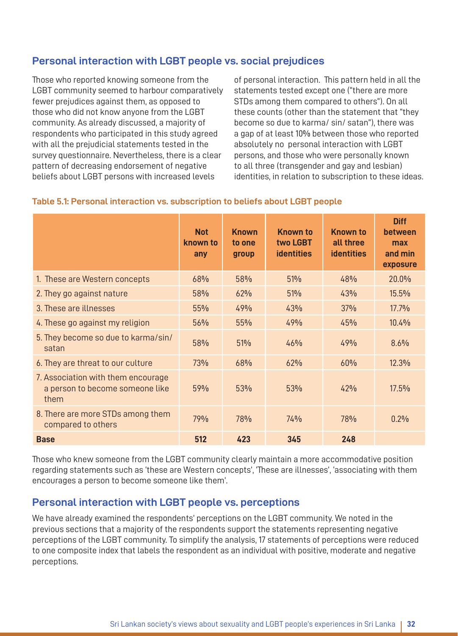#### **Personal interaction with LGBT people vs. social prejudices**

Those who reported knowing someone from the LGBT community seemed to harbour comparatively fewer prejudices against them, as opposed to those who did not know anyone from the LGBT community. As already discussed, a majority of respondents who participated in this study agreed with all the prejudicial statements tested in the survey questionnaire. Nevertheless, there is a clear pattern of decreasing endorsement of negative beliefs about LGBT persons with increased levels

of personal interaction. This pattern held in all the statements tested except one ("there are more STDs among them compared to others"). On all these counts (other than the statement that "they become so due to karma/ sin/ satan"), there was a gap of at least 10% between those who reported absolutely no personal interaction with LGBT persons, and those who were personally known to all three (transgender and gay and lesbian) identities, in relation to subscription to these ideas.

|                                                                               | <b>Not</b><br>known to<br>any | <b>Known</b><br>to one<br>group | <b>Known to</b><br>two LGBT<br><b>identities</b> | <b>Known to</b><br>all three<br><b>identities</b> | <b>Diff</b><br>between<br>max<br>and min<br>exposure |
|-------------------------------------------------------------------------------|-------------------------------|---------------------------------|--------------------------------------------------|---------------------------------------------------|------------------------------------------------------|
| 1. These are Western concepts                                                 | 68%                           | 58%                             | 51%                                              | 48%                                               | 20.0%                                                |
| 2. They go against nature                                                     | 58%                           | 62%                             | 51%                                              | 43%                                               | 15.5%                                                |
| 3. These are illnesses                                                        | 55%                           | 49%                             | 43%                                              | 37%                                               | 17.7%                                                |
| 4. These go against my religion                                               | 56%                           | 55%                             | 49%                                              | 45%                                               | 10.4%                                                |
| 5. They become so due to karma/sin/<br>satan                                  | 58%                           | 51%                             | 46%                                              | 49%                                               | 8.6%                                                 |
| 6. They are threat to our culture                                             | 73%                           | 68%                             | 62%                                              | 60%                                               | 12.3%                                                |
| 7. Association with them encourage<br>a person to become someone like<br>them | 59%                           | 53%                             | 53%                                              | 42%                                               | 17.5%                                                |
| 8. There are more STDs among them<br>compared to others                       | 79%                           | 78%                             | 74%                                              | 78%                                               | 0.2%                                                 |
| <b>Base</b>                                                                   | 512                           | 423                             | 345                                              | 248                                               |                                                      |

#### **Table 5.1: Personal interaction vs. subscription to beliefs about LGBT people**

Those who knew someone from the LGBT community clearly maintain a more accommodative position regarding statements such as 'these are Western concepts', 'These are illnesses', 'associating with them encourages a person to become someone like them'.

#### **Personal interaction with LGBT people vs. perceptions**

We have already examined the respondents' perceptions on the LGBT community. We noted in the previous sections that a majority of the respondents support the statements representing negative perceptions of the LGBT community. To simplify the analysis, 17 statements of perceptions were reduced to one composite index that labels the respondent as an individual with positive, moderate and negative perceptions.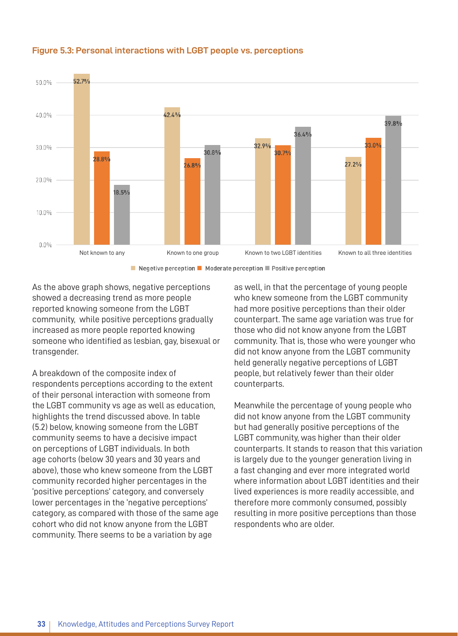

#### **Figure 5.3: Personal interactions with LGBT people vs. perceptions**

As the above graph shows, negative perceptions showed a decreasing trend as more people reported knowing someone from the LGBT community, while positive perceptions gradually increased as more people reported knowing someone who identified as lesbian, gay, bisexual or transgender.

A breakdown of the composite index of respondents perceptions according to the extent of their personal interaction with someone from the LGBT community vs age as well as education, highlights the trend discussed above. In table (5.2) below, knowing someone from the LGBT community seems to have a decisive impact on perceptions of LGBT individuals. In both age cohorts (below 30 years and 30 years and above), those who knew someone from the LGBT community recorded higher percentages in the 'positive perceptions' category, and conversely lower percentages in the 'negative perceptions' category, as compared with those of the same age cohort who did not know anyone from the LGBT community. There seems to be a variation by age

as well, in that the percentage of young people who knew someone from the LGBT community had more positive perceptions than their older counterpart. The same age variation was true for those who did not know anyone from the LGBT community. That is, those who were younger who did not know anyone from the LGBT community held generally negative perceptions of LGBT people, but relatively fewer than their older counterparts.

Meanwhile the percentage of young people who did not know anyone from the LGBT community but had generally positive perceptions of the LGBT community, was higher than their older counterparts. It stands to reason that this variation is largely due to the younger generation living in a fast changing and ever more integrated world where information about LGBT identities and their lived experiences is more readily accessible, and therefore more commonly consumed, possibly resulting in more positive perceptions than those respondents who are older.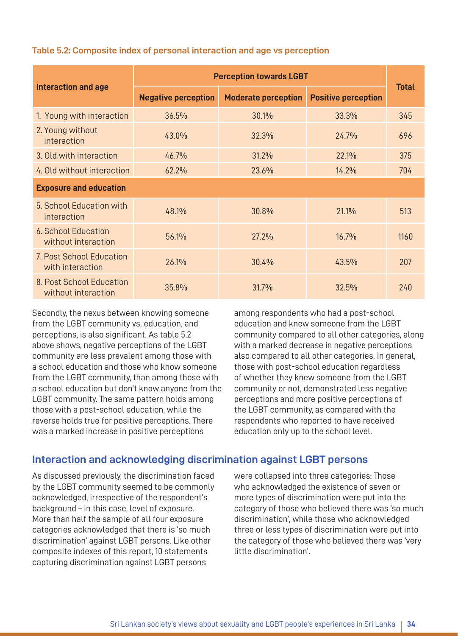#### **Table 5.2: Composite index of personal interaction and age vs perception**

|                                                 | <b>Perception towards LGBT</b>                           |          |                            |              |  |  |
|-------------------------------------------------|----------------------------------------------------------|----------|----------------------------|--------------|--|--|
| Interaction and age                             | <b>Negative perception</b><br><b>Moderate perception</b> |          | <b>Positive perception</b> | <b>Total</b> |  |  |
| 1. Young with interaction                       | 36.5%                                                    | 30.1%    | 33.3%                      | 345          |  |  |
| 2. Young without<br>interaction                 | 43.0%                                                    | 32.3%    | 24.7%                      | 696          |  |  |
| 3. Old with interaction                         | $46.7\%$                                                 | 31.2%    | 22.1%                      | 375          |  |  |
| 4. Old without interaction                      | 62.2%                                                    | 23.6%    | 14.2%                      | 704          |  |  |
| <b>Exposure and education</b>                   |                                                          |          |                            |              |  |  |
| 5. School Education with<br>interaction         | 48.1%                                                    | $30.8\%$ | 21.1%                      | 513          |  |  |
| 6. School Education<br>without interaction      | 56.1%                                                    | 27.2%    | $16.7\%$                   | 1160         |  |  |
| 7. Post School Education<br>with interaction    | 26.1%                                                    | 30.4%    | $43.5\%$                   | 207          |  |  |
| 8. Post School Education<br>without interaction | $35.8\%$                                                 | 31.7%    | 32.5%                      | 240          |  |  |

Secondly, the nexus between knowing someone from the LGBT community vs. education, and perceptions, is also significant. As table 5.2 above shows, negative perceptions of the LGBT community are less prevalent among those with a school education and those who know someone from the LGBT community, than among those with a school education but don't know anyone from the LGBT community. The same pattern holds among those with a post-school education, while the reverse holds true for positive perceptions. There was a marked increase in positive perceptions

among respondents who had a post-school education and knew someone from the LGBT community compared to all other categories, along with a marked decrease in negative perceptions also compared to all other categories. In general, those with post-school education regardless of whether they knew someone from the LGBT community or not, demonstrated less negative perceptions and more positive perceptions of the LGBT community, as compared with the respondents who reported to have received education only up to the school level.

#### **Interaction and acknowledging discrimination against LGBT persons**

As discussed previously, the discrimination faced by the LGBT community seemed to be commonly acknowledged, irrespective of the respondent's background – in this case, level of exposure. More than half the sample of all four exposure categories acknowledged that there is 'so much discrimination' against LGBT persons. Like other composite indexes of this report, 10 statements capturing discrimination against LGBT persons

were collapsed into three categories: Those who acknowledged the existence of seven or more types of discrimination were put into the category of those who believed there was 'so much discrimination', while those who acknowledged three or less types of discrimination were put into the category of those who believed there was 'very little discrimination'.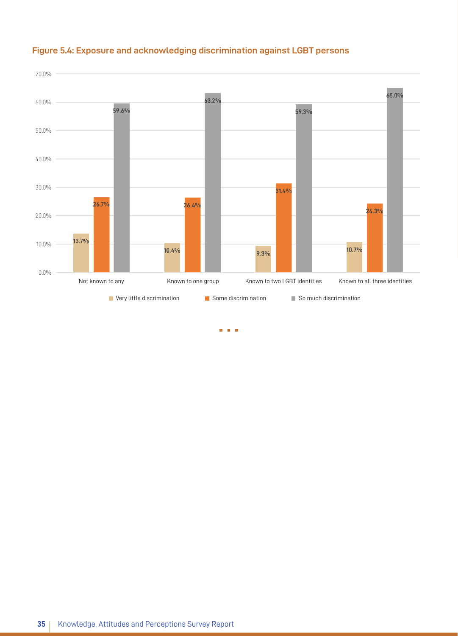

#### **Figure 5.4: Exposure and acknowledging discrimination against LGBT persons**

**COLOR**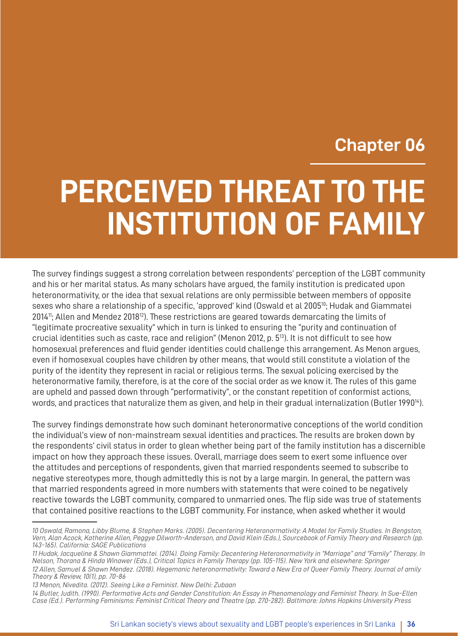## **Chapter 06**

# **PERCEIVED THREAT TO THE INSTITUTION OF FAMILY**

The survey findings suggest a strong correlation between respondents' perception of the LGBT community and his or her marital status. As many scholars have argued, the family institution is predicated upon heteronormativity, or the idea that sexual relations are only permissible between members of opposite sexes who share a relationship of a specific, 'approved' kind (Oswald et al 2005<sup>10</sup>; Hudak and Giammatei  $2014$ <sup>11</sup>; Allen and Mendez 2018<sup>12</sup>). These restrictions are geared towards demarcating the limits of "legitimate procreative sexuality" which in turn is linked to ensuring the "purity and continuation of crucial identities such as caste, race and religion" (Menon 2012, p.  $5^{13}$ ). It is not difficult to see how homosexual preferences and fluid gender identities could challenge this arrangement. As Menon argues, even if homosexual couples have children by other means, that would still constitute a violation of the purity of the identity they represent in racial or religious terms. The sexual policing exercised by the heteronormative family, therefore, is at the core of the social order as we know it. The rules of this game are upheld and passed down through "performativity", or the constant repetition of conformist actions, words, and practices that naturalize them as given, and help in their gradual internalization (Butler 1990 $^{\rm 14)}$ ).

The survey findings demonstrate how such dominant heteronormative conceptions of the world condition the individual's view of non-mainstream sexual identities and practices. The results are broken down by the respondents' civil status in order to glean whether being part of the family institution has a discernible impact on how they approach these issues. Overall, marriage does seem to exert some influence over the attitudes and perceptions of respondents, given that married respondents seemed to subscribe to negative stereotypes more, though admittedly this is not by a large margin. In general, the pattern was that married respondents agreed in more numbers with statements that were coined to be negatively reactive towards the LGBT community, compared to unmarried ones. The flip side was true of statements that contained positive reactions to the LGBT community. For instance, when asked whether it would

- *11 Hudak, Jacqueline & Shawn Giammattei. (2014). Doing Family: Decentering Heteronormativity in "Marriage" and "Family" Therapy. In Nelson, Thorana & Hinda Winawer (Eds.), Critical Topics in Family Therapy (pp. 105-115). New York and elsewhere: Springer 12 Allen, Samuel & Shawn Mendez. (2018). Hegemonic heteronormativity: Toward a New Era of Queer Family Theory. Journal of amily Theory & Review, 10(1), pp. 70-86*
- *13 Menon, Nivedita. (2012). Seeing Like a Feminist. New Delhi: Zubaan*
- *14 Butler, Judith. (1990). Performative Acts and Gender Constitution: An Essay in Phenomenology and Feminist Theory. In Sue-Ellen Case (Ed.). Performing Feminisms: Feminist Critical Theory and Theatre (pp. 270-282). Baltimore: Johns Hopkins University Press*

*<sup>10</sup> Oswald, Ramona, Libby Blume, & Stephen Marks. (2005). Decentering Heteronormativity: A Model for Family Studies. In Bengston, Vern, Alan Acock, Katherine Allen, Peggye Dilworth-Anderson, and David Klein (Eds.), Sourcebook of Family Theory and Research (pp. 143-165). California: SAGE Publications*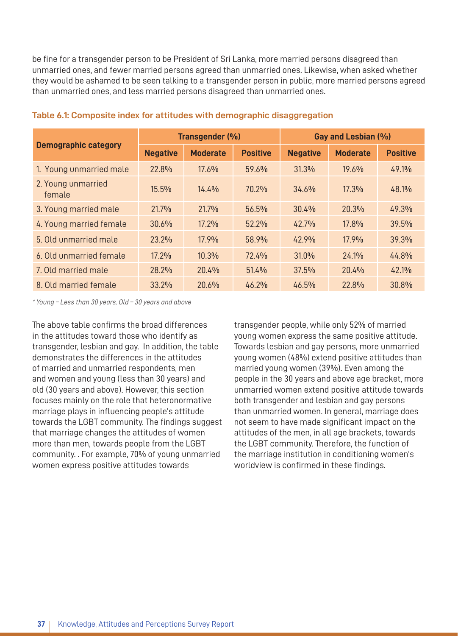be fine for a transgender person to be President of Sri Lanka, more married persons disagreed than unmarried ones, and fewer married persons agreed than unmarried ones. Likewise, when asked whether they would be ashamed to be seen talking to a transgender person in public, more married persons agreed than unmarried ones, and less married persons disagreed than unmarried ones.

|                                                |          | Transgender (%) |                 | Gay and Lesbian (%) |                 |                 |  |
|------------------------------------------------|----------|-----------------|-----------------|---------------------|-----------------|-----------------|--|
| <b>Demographic category</b><br><b>Negative</b> |          | <b>Moderate</b> | <b>Positive</b> | <b>Negative</b>     | <b>Moderate</b> | <b>Positive</b> |  |
| 1. Young unmarried male                        | 22.8%    | 17.6%           | 59.6%           | 31.3%               | 19.6%           | $49.1\%$        |  |
| 2. Young unmarried<br>female                   | 15.5%    | $14.4\%$        | 70.2%           | 34.6%               | 17.3%           | 48.1%           |  |
| 3. Young married male                          | $21.7\%$ | 21.7%           | 56.5%           | 30.4%               | 20.3%           | 49.3%           |  |
| 4. Young married female                        | 30.6%    | $17.2\%$        | 52.2%           | 42.7%               | 17.8%           | 39.5%           |  |
| 5. Old unmarried male                          | 23.2%    | 17.9%           | 58.9%           | 42.9%               | $17.9\%$        | 39.3%           |  |
| 6. Old unmarried female                        | 17.2%    | 10.3%           | 72.4%           | 31.0%               | 24.1%           | 44.8%           |  |
| 7. Old married male                            | 28.2%    | 20.4%           | 51.4%           | 37.5%               | 20.4%           | 42.1%           |  |
| 8. Old married female                          | 33.2%    | 20.6%           | 46.2%           | 46.5%               | 22.8%           | 30.8%           |  |

#### **Table 6.1: Composite index for attitudes with demographic disaggregation**

*\* Young – Less than 30 years, Old – 30 years and above*

The above table confirms the broad differences in the attitudes toward those who identify as transgender, lesbian and gay. In addition, the table demonstrates the differences in the attitudes of married and unmarried respondents, men and women and young (less than 30 years) and old (30 years and above). However, this section focuses mainly on the role that heteronormative marriage plays in influencing people's attitude towards the LGBT community. The findings suggest that marriage changes the attitudes of women more than men, towards people from the LGBT community. . For example, 70% of young unmarried women express positive attitudes towards

transgender people, while only 52% of married young women express the same positive attitude. Towards lesbian and gay persons, more unmarried young women (48%) extend positive attitudes than married young women (39%). Even among the people in the 30 years and above age bracket, more unmarried women extend positive attitude towards both transgender and lesbian and gay persons than unmarried women. In general, marriage does not seem to have made significant impact on the attitudes of the men, in all age brackets, towards the LGBT community. Therefore, the function of the marriage institution in conditioning women's worldview is confirmed in these findings.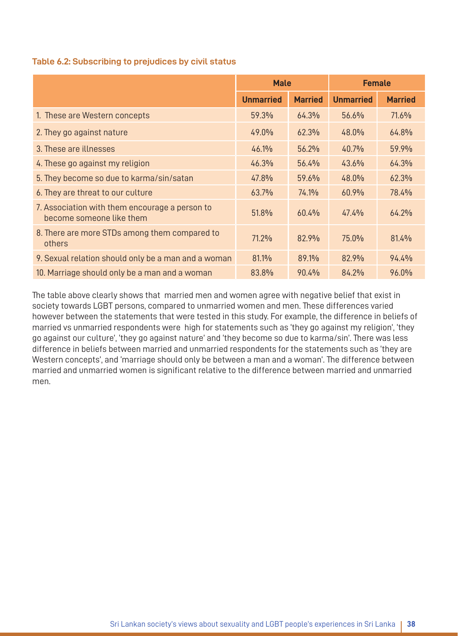#### **Table 6.2: Subscribing to prejudices by civil status**

|                                                                            | <b>Male</b>      |                | <b>Female</b>    |                |
|----------------------------------------------------------------------------|------------------|----------------|------------------|----------------|
|                                                                            | <b>Unmarried</b> | <b>Married</b> | <b>Unmarried</b> | <b>Married</b> |
| 1. These are Western concepts                                              | 59.3%            | 64.3%          | 56.6%            | 71.6%          |
| 2. They go against nature                                                  | $49.0\%$         | 62.3%          | 48.0%            | 64.8%          |
| 3. These are illnesses                                                     | 46.1%            | 56.2%          | 40.7%            | 59.9%          |
| 4. These go against my religion                                            | 46.3%            | 56.4%          | 43.6%            | 64.3%          |
| 5. They become so due to karma/sin/satan                                   | 47.8%            | 59.6%          | 48.0%            | 62.3%          |
| 6. They are threat to our culture                                          | 63.7%            | 74.1%          | 60.9%            | 78.4%          |
| 7. Association with them encourage a person to<br>become someone like them | 51.8%            | 60.4%          | 47.4%            | 64.2%          |
| 8. There are more STDs among them compared to<br>others                    | 71.2%            | 82.9%          | 75.0%            | 81.4%          |
| 9. Sexual relation should only be a man and a woman                        | 81.1%            | 89.1%          | 82.9%            | 94.4%          |
| 10. Marriage should only be a man and a woman                              | 83.8%            | 90.4%          | 84.2%            | 96.0%          |

The table above clearly shows that married men and women agree with negative belief that exist in society towards LGBT persons, compared to unmarried women and men. These differences varied however between the statements that were tested in this study. For example, the difference in beliefs of married vs unmarried respondents were high for statements such as 'they go against my religion', 'they go against our culture', 'they go against nature' and 'they become so due to karma/sin'. There was less difference in beliefs between married and unmarried respondents for the statements such as 'they are Western concepts', and 'marriage should only be between a man and a woman'. The difference between married and unmarried women is significant relative to the difference between married and unmarried men.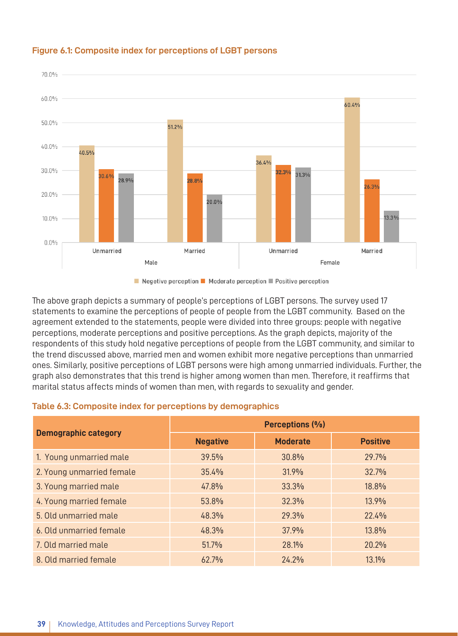

#### **Figure 6.1: Composite index for perceptions of LGBT persons**

The above graph depicts a summary of people's perceptions of LGBT persons. The survey used 17 statements to examine the perceptions of people of people from the LGBT community. Based on the agreement extended to the statements, people were divided into three groups: people with negative perceptions, moderate perceptions and positive perceptions. As the graph depicts, majority of the respondents of this study hold negative perceptions of people from the LGBT community, and similar to the trend discussed above, married men and women exhibit more negative perceptions than unmarried ones. Similarly, positive perceptions of LGBT persons were high among unmarried individuals. Further, the graph also demonstrates that this trend is higher among women than men. Therefore, it reaffirms that marital status affects minds of women than men, with regards to sexuality and gender.

#### **Table 6.3: Composite index for perceptions by demographics**

|                             | Perceptions (%) |                 |                 |  |  |
|-----------------------------|-----------------|-----------------|-----------------|--|--|
| <b>Demographic category</b> | <b>Negative</b> | <b>Moderate</b> | <b>Positive</b> |  |  |
| 1. Young unmarried male     | 39.5%           | 30.8%           | 29.7%           |  |  |
| 2. Young unmarried female   | 35.4%           | 31.9%           | 32.7%           |  |  |
| 3. Young married male       | 47.8%           | 33.3%           | $18.8\%$        |  |  |
| 4. Young married female     | 53.8%           | 32.3%           | 13.9%           |  |  |
| 5. Old unmarried male       | 48.3%           | 29.3%           | 22.4%           |  |  |
| 6. Old unmarried female     | 48.3%           | 37.9%           | $13.8\%$        |  |  |
| 7. Old married male         | 51.7%           | 28.1%           | 20.2%           |  |  |
| 8. Old married female       | 62.7%           | 24.2%           | 13.1%           |  |  |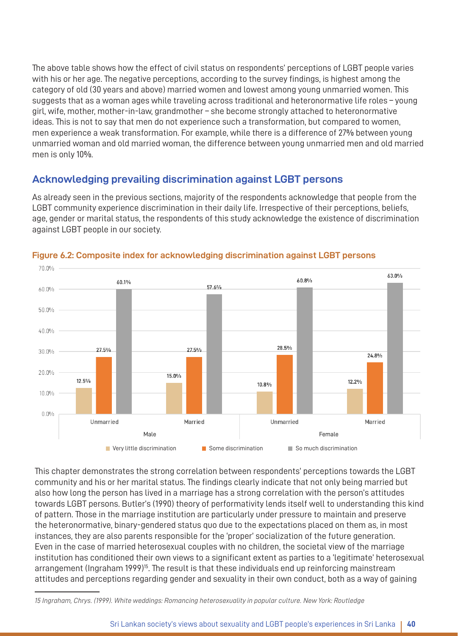The above table shows how the effect of civil status on respondents' perceptions of LGBT people varies with his or her age. The negative perceptions, according to the survey findings, is highest among the category of old (30 years and above) married women and lowest among young unmarried women. This suggests that as a woman ages while traveling across traditional and heteronormative life roles – young girl, wife, mother, mother-in-law, grandmother – she become strongly attached to heteronormative ideas. This is not to say that men do not experience such a transformation, but compared to women, men experience a weak transformation. For example, while there is a difference of 27% between young unmarried woman and old married woman, the difference between young unmarried men and old married men is only 10%.

#### **Acknowledging prevailing discrimination against LGBT persons**

As already seen in the previous sections, majority of the respondents acknowledge that people from the LGBT community experience discrimination in their daily life. Irrespective of their perceptions, beliefs, age, gender or marital status, the respondents of this study acknowledge the existence of discrimination against LGBT people in our society.



#### **Figure 6.2: Composite index for acknowledging discrimination against LGBT persons**

This chapter demonstrates the strong correlation between respondents' perceptions towards the LGBT community and his or her marital status. The findings clearly indicate that not only being married but also how long the person has lived in a marriage has a strong correlation with the person's attitudes towards LGBT persons. Butler's (1990) theory of performativity lends itself well to understanding this kind of pattern. Those in the marriage institution are particularly under pressure to maintain and preserve the heteronormative, binary-gendered status quo due to the expectations placed on them as, in most instances, they are also parents responsible for the 'proper' socialization of the future generation. Even in the case of married heterosexual couples with no children, the societal view of the marriage institution has conditioned their own views to a significant extent as parties to a 'legitimate' heterosexual arrangement (Ingraham 1999)<sup>15</sup>. The result is that these individuals end up reinforcing mainstream attitudes and perceptions regarding gender and sexuality in their own conduct, both as a way of gaining

*15 Ingraham, Chrys. (1999). White weddings: Romancing heterosexuality in popular culture. New York: Routledge*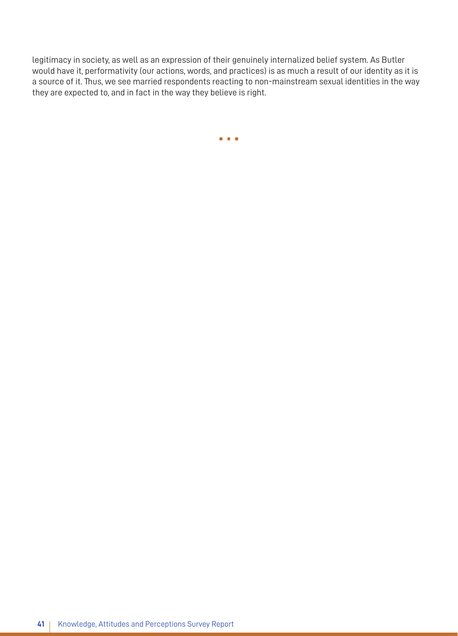legitimacy in society, as well as an expression of their genuinely internalized belief system. As Butler would have it, performativity (our actions, words, and practices) is as much a result of our identity as it is a source of it. Thus, we see married respondents reacting to non-mainstream sexual identities in the way they are expected to, and in fact in the way they believe is right.

n in d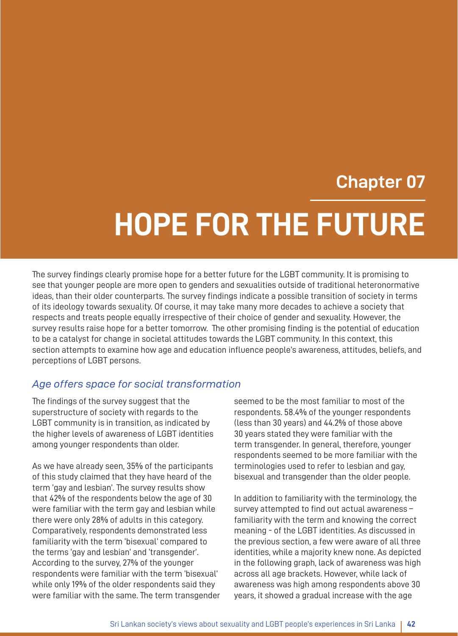### **Chapter 07**

# **HOPE FOR THE FUTURE**

The survey findings clearly promise hope for a better future for the LGBT community. It is promising to see that younger people are more open to genders and sexualities outside of traditional heteronormative ideas, than their older counterparts. The survey findings indicate a possible transition of society in terms of its ideology towards sexuality. Of course, it may take many more decades to achieve a society that respects and treats people equally irrespective of their choice of gender and sexuality. However, the survey results raise hope for a better tomorrow. The other promising finding is the potential of education to be a catalyst for change in societal attitudes towards the LGBT community. In this context, this section attempts to examine how age and education influence people's awareness, attitudes, beliefs, and perceptions of LGBT persons.

#### *Age offers space for social transformation*

The findings of the survey suggest that the superstructure of society with regards to the LGBT community is in transition, as indicated by the higher levels of awareness of LGBT identities among younger respondents than older.

As we have already seen, 35% of the participants of this study claimed that they have heard of the term 'gay and lesbian'. The survey results show that 42% of the respondents below the age of 30 were familiar with the term gay and lesbian while there were only 28% of adults in this category. Comparatively, respondents demonstrated less familiarity with the term 'bisexual' compared to the terms 'gay and lesbian' and 'transgender'. According to the survey, 27% of the younger respondents were familiar with the term 'bisexual' while only 19% of the older respondents said they were familiar with the same. The term transgender seemed to be the most familiar to most of the respondents. 58.4% of the younger respondents (less than 30 years) and 44.2% of those above 30 years stated they were familiar with the term transgender. In general, therefore, younger respondents seemed to be more familiar with the terminologies used to refer to lesbian and gay, bisexual and transgender than the older people.

In addition to familiarity with the terminology, the survey attempted to find out actual awareness – familiarity with the term and knowing the correct meaning - of the LGBT identities. As discussed in the previous section, a few were aware of all three identities, while a majority knew none. As depicted in the following graph, lack of awareness was high across all age brackets. However, while lack of awareness was high among respondents above 30 years, it showed a gradual increase with the age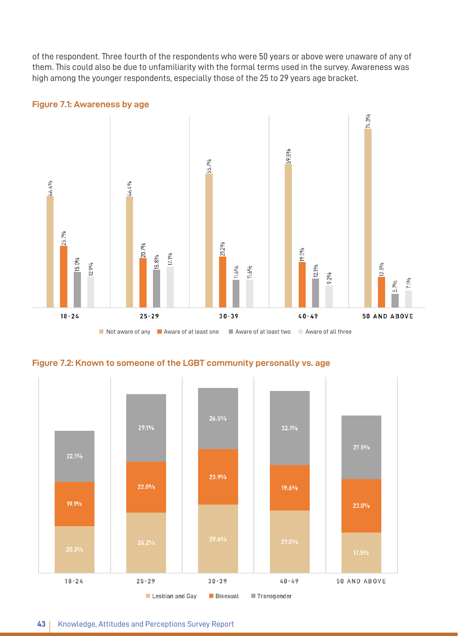of the respondent. Three fourth of the respondents who were 50 years or above were unaware of any of them. This could also be due to unfamiliarity with the formal terms used in the survey. Awareness was high among the younger respondents, especially those of the 25 to 29 years age bracket.



#### **Figure 7.1: Awareness by age**



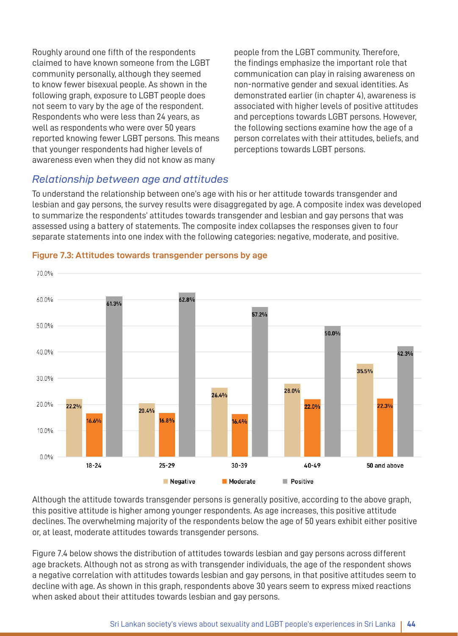Roughly around one fifth of the respondents claimed to have known someone from the LGBT community personally, although they seemed to know fewer bisexual people. As shown in the following graph, exposure to LGBT people does not seem to vary by the age of the respondent. Respondents who were less than 24 years, as well as respondents who were over 50 years reported knowing fewer LGBT persons. This means that younger respondents had higher levels of awareness even when they did not know as many

people from the LGBT community. Therefore, the findings emphasize the important role that communication can play in raising awareness on non-normative gender and sexual identities. As demonstrated earlier (in chapter 4), awareness is associated with higher levels of positive attitudes and perceptions towards LGBT persons. However, the following sections examine how the age of a person correlates with their attitudes, beliefs, and perceptions towards LGBT persons.

#### *Relationship between age and attitudes*

To understand the relationship between one's age with his or her attitude towards transgender and lesbian and gay persons, the survey results were disaggregated by age. A composite index was developed to summarize the respondents' attitudes towards transgender and lesbian and gay persons that was assessed using a battery of statements. The composite index collapses the responses given to four separate statements into one index with the following categories: negative, moderate, and positive.



#### **Figure 7.3: Attitudes towards transgender persons by age**

Although the attitude towards transgender persons is generally positive, according to the above graph, this positive attitude is higher among younger respondents. As age increases, this positive attitude declines. The overwhelming majority of the respondents below the age of 50 years exhibit either positive or, at least, moderate attitudes towards transgender persons.

Figure 7.4 below shows the distribution of attitudes towards lesbian and gay persons across different age brackets. Although not as strong as with transgender individuals, the age of the respondent shows a negative correlation with attitudes towards lesbian and gay persons, in that positive attitudes seem to decline with age. As shown in this graph, respondents above 30 years seem to express mixed reactions when asked about their attitudes towards lesbian and gay persons.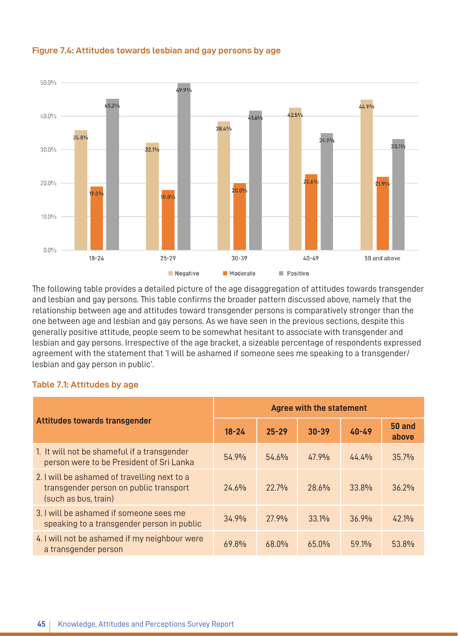

#### **Figure 7.4: Attitudes towards lesbian and gay persons by age**

The following table provides a detailed picture of the age disaggregation of attitudes towards transgender and lesbian and gay persons. This table confirms the broader pattern discussed above, namely that the relationship between age and attitudes toward transgender persons is comparatively stronger than the one between age and lesbian and gay persons. As we have seen in the previous sections, despite this generally positive attitude, people seem to be somewhat hesitant to associate with transgender and lesbian and gay persons. Irrespective of the age bracket, a sizeable percentage of respondents expressed agreement with the statement that 'I will be ashamed if someone sees me speaking to a transgender/ lesbian and gay person in public'.

#### **Table 7.1: Attitudes by age**

|                                                                                                                | <b>Agree with the statement</b> |           |           |           |                        |  |
|----------------------------------------------------------------------------------------------------------------|---------------------------------|-----------|-----------|-----------|------------------------|--|
| Attitudes towards transgender                                                                                  | $18 - 24$                       | $25 - 29$ | $30 - 39$ | $40 - 49$ | <b>50 and</b><br>above |  |
| 1. It will not be shameful if a transgender<br>person were to be President of Sri Lanka                        | 54.9%                           | 54.6%     | 47.9%     | 44.4%     | 35.7%                  |  |
| 2. I will be ashamed of travelling next to a<br>transgender person on public transport<br>(such as bus, train) | 24.6%                           | 22.7%     | 28.6%     | 33.8%     | 36.2%                  |  |
| 3. I will be ashamed if someone sees me<br>speaking to a transgender person in public                          | 34.9%                           | 27.9%     | 33.1%     | 36.9%     | $42.1\%$               |  |
| 4. I will not be ashamed if my neighbour were<br>a transgender person                                          | 69.8%                           | 68.0%     | 65.0%     | 59.1%     | 53.8%                  |  |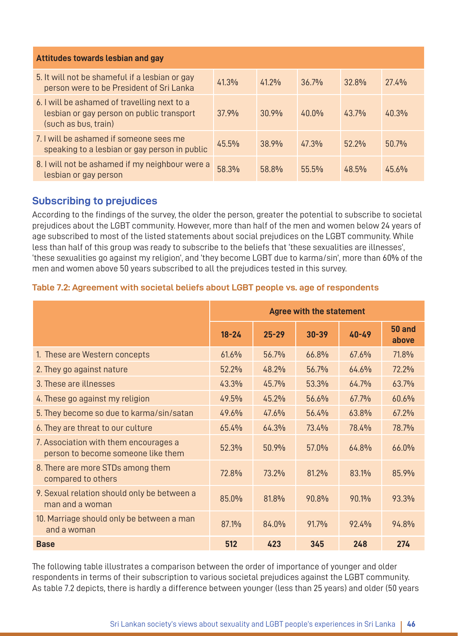| Attitudes towards lesbian and gay                                                                                 |       |       |          |          |       |
|-------------------------------------------------------------------------------------------------------------------|-------|-------|----------|----------|-------|
| 5. It will not be shameful if a lesbian or gay<br>person were to be President of Sri Lanka                        | 41.3% | 41.2% | $36.7\%$ | $32.8\%$ | 27.4% |
| 6. I will be ashamed of travelling next to a<br>lesbian or gay person on public transport<br>(such as bus, train) | 37.9% | 30.9% | $40.0\%$ | 43.7%    | 40.3% |
| 7. I will be ashamed if someone sees me<br>speaking to a lesbian or gay person in public                          | 45.5% | 38.9% | 47.3%    | 52.2%    | 50.7% |
| 8. I will not be ashamed if my neighbour were a<br>lesbian or gay person                                          | 58.3% | 58.8% | 55.5%    | 48.5%    | 45.6% |

#### **Subscribing to prejudices**

According to the findings of the survey, the older the person, greater the potential to subscribe to societal prejudices about the LGBT community. However, more than half of the men and women below 24 years of age subscribed to most of the listed statements about social prejudices on the LGBT community. While less than half of this group was ready to subscribe to the beliefs that 'these sexualities are illnesses', 'these sexualities go against my religion', and 'they become LGBT due to karma/sin', more than 60% of the men and women above 50 years subscribed to all the prejudices tested in this survey.

#### **Table 7.2: Agreement with societal beliefs about LGBT people vs. age of respondents**

|                                                                             | <b>Agree with the statement</b> |           |           |           |                        |
|-----------------------------------------------------------------------------|---------------------------------|-----------|-----------|-----------|------------------------|
|                                                                             | $18 - 24$                       | $25 - 29$ | $30 - 39$ | $40 - 49$ | <b>50 and</b><br>above |
| 1. These are Western concepts                                               | 61.6%                           | 56.7%     | 66.8%     | 67.6%     | 71.8%                  |
| 2. They go against nature                                                   | 52.2%                           | 48.2%     | 56.7%     | 64.6%     | 72.2%                  |
| 3. These are illnesses                                                      | 43.3%                           | 45.7%     | 53.3%     | 64.7%     | 63.7%                  |
| 4. These go against my religion                                             | 49.5%                           | 45.2%     | 56.6%     | 67.7%     | 60.6%                  |
| 5. They become so due to karma/sin/satan                                    | 49.6%                           | 47.6%     | 56.4%     | 63.8%     | 67.2%                  |
| 6. They are threat to our culture                                           | 65.4%                           | 64.3%     | 73.4%     | 78.4%     | 78.7%                  |
| 7. Association with them encourages a<br>person to become someone like them | 52.3%                           | 50.9%     | 57.0%     | 64.8%     | 66.0%                  |
| 8. There are more STDs among them<br>compared to others                     | 72.8%                           | 73.2%     | 81.2%     | 83.1%     | 85.9%                  |
| 9. Sexual relation should only be between a<br>man and a woman              | 85.0%                           | 81.8%     | 90.8%     | 90.1%     | 93.3%                  |
| 10. Marriage should only be between a man<br>and a woman                    | 87.1%                           | 84.0%     | $91.7\%$  | 92.4%     | 94.8%                  |
| <b>Base</b>                                                                 | 512                             | 423       | 345       | 248       | 274                    |

The following table illustrates a comparison between the order of importance of younger and older respondents in terms of their subscription to various societal prejudices against the LGBT community. As table 7.2 depicts, there is hardly a difference between younger (less than 25 years) and older (50 years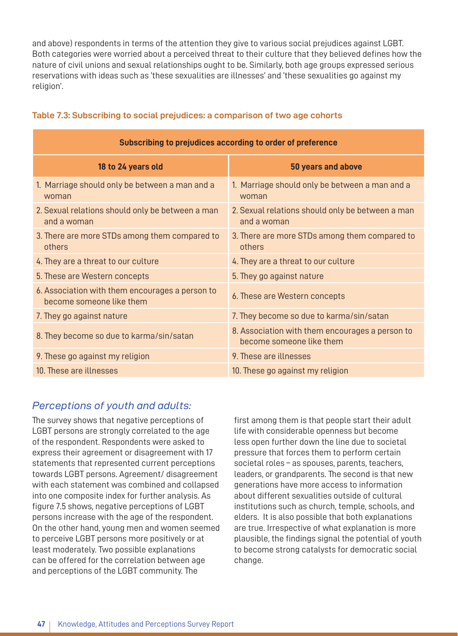and above) respondents in terms of the attention they give to various social prejudices against LGBT. Both categories were worried about a perceived threat to their culture that they believed defines how the nature of civil unions and sexual relationships ought to be. Similarly, both age groups expressed serious reservations with ideas such as 'these sexualities are illnesses' and 'these sexualities go against my religion'.

| Subscribing to prejudices according to order of preference                  |                                                                             |  |  |  |
|-----------------------------------------------------------------------------|-----------------------------------------------------------------------------|--|--|--|
| 18 to 24 years old                                                          | 50 years and above                                                          |  |  |  |
| 1. Marriage should only be between a man and a<br>woman                     | 1. Marriage should only be between a man and a<br>woman                     |  |  |  |
| 2. Sexual relations should only be between a man<br>and a woman             | 2. Sexual relations should only be between a man<br>and a woman             |  |  |  |
| 3. There are more STDs among them compared to<br>others                     | 3. There are more STDs among them compared to<br>others                     |  |  |  |
| 4. They are a threat to our culture                                         | 4. They are a threat to our culture                                         |  |  |  |
| 5. These are Western concepts                                               | 5. They go against nature                                                   |  |  |  |
| 6. Association with them encourages a person to<br>become someone like them | 6. These are Western concepts                                               |  |  |  |
| 7. They go against nature                                                   | 7. They become so due to karma/sin/satan                                    |  |  |  |
| 8. They become so due to karma/sin/satan                                    | 8. Association with them encourages a person to<br>become someone like them |  |  |  |
| 9. These go against my religion                                             | 9. These are illnesses                                                      |  |  |  |
| 10. These are illnesses                                                     | 10. These go against my religion                                            |  |  |  |

#### **Table 7.3: Subscribing to social prejudices: a comparison of two age cohorts**

#### *Perceptions of youth and adults:*

The survey shows that negative perceptions of LGBT persons are strongly correlated to the age of the respondent. Respondents were asked to express their agreement or disagreement with 17 statements that represented current perceptions towards LGBT persons. Agreement/ disagreement with each statement was combined and collapsed into one composite index for further analysis. As figure 7.5 shows, negative perceptions of LGBT persons increase with the age of the respondent. On the other hand, young men and women seemed to perceive LGBT persons more positively or at least moderately. Two possible explanations can be offered for the correlation between age and perceptions of the LGBT community. The

first among them is that people start their adult life with considerable openness but become less open further down the line due to societal pressure that forces them to perform certain societal roles – as spouses, parents, teachers, leaders, or grandparents. The second is that new generations have more access to information about different sexualities outside of cultural institutions such as church, temple, schools, and elders. It is also possible that both explanations are true. Irrespective of what explanation is more plausible, the findings signal the potential of youth to become strong catalysts for democratic social change.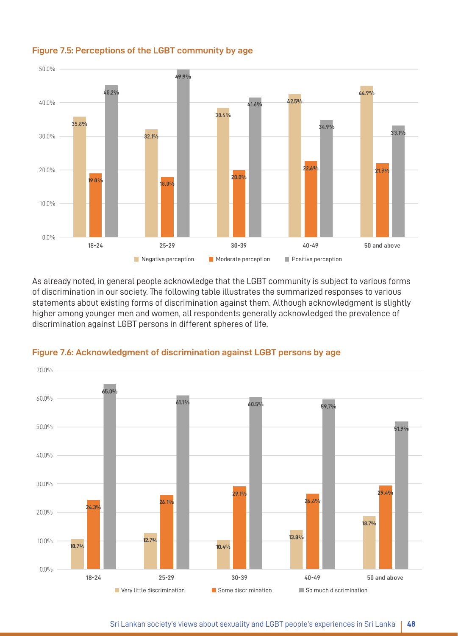

#### **Figure 7.5: Perceptions of the LGBT community by age**

As already noted, in general people acknowledge that the LGBT community is subject to various forms of discrimination in our society. The following table illustrates the summarized responses to various statements about existing forms of discrimination against them. Although acknowledgment is slightly higher among younger men and women, all respondents generally acknowledged the prevalence of discrimination against LGBT persons in different spheres of life.



#### **Figure 7.6: Acknowledgment of discrimination against LGBT persons by age**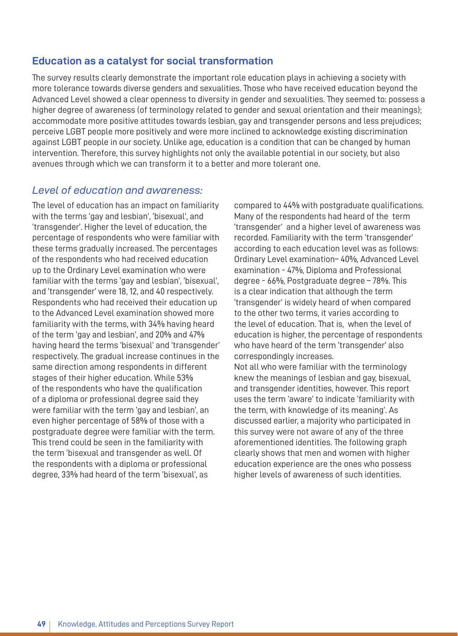#### **Education as a catalyst for social transformation**

The survey results clearly demonstrate the important role education plays in achieving a society with more tolerance towards diverse genders and sexualities. Those who have received education beyond the Advanced Level showed a clear openness to diversity in gender and sexualities. They seemed to: possess a higher degree of awareness (of terminology related to gender and sexual orientation and their meanings); accommodate more positive attitudes towards lesbian, gay and transgender persons and less prejudices; perceive LGBT people more positively and were more inclined to acknowledge existing discrimination against LGBT people in our society. Unlike age, education is a condition that can be changed by human intervention. Therefore, this survey highlights not only the available potential in our society, but also avenues through which we can transform it to a better and more tolerant one.

#### *Level of education and awareness:*

The level of education has an impact on familiarity with the terms 'gay and lesbian', 'bisexual', and 'transgender'. Higher the level of education, the percentage of respondents who were familiar with these terms gradually increased. The percentages of the respondents who had received education up to the Ordinary Level examination who were familiar with the terms 'gay and lesbian', 'bisexual', and 'transgender' were 18, 12, and 40 respectively. Respondents who had received their education up to the Advanced Level examination showed more familiarity with the terms, with 34% having heard of the term 'gay and lesbian', and 20% and 47% having heard the terms 'bisexual' and 'transgender' respectively. The gradual increase continues in the same direction among respondents in different stages of their higher education. While 53% of the respondents who have the qualification of a diploma or professional degree said they were familiar with the term 'gay and lesbian', an even higher percentage of 58% of those with a postgraduate degree were familiar with the term. This trend could be seen in the familiarity with the term 'bisexual and transgender as well. Of the respondents with a diploma or professional degree, 33% had heard of the term 'bisexual', as

compared to 44% with postgraduate qualifications. Many of the respondents had heard of the term 'transgender' and a higher level of awareness was recorded. Familiarity with the term 'transgender' according to each education level was as follows: Ordinary Level examination– 40%, Advanced Level examination - 47%, Diploma and Professional degree - 66%, Postgraduate degree – 78%. This is a clear indication that although the term 'transgender' is widely heard of when compared to the other two terms, it varies according to the level of education. That is, when the level of education is higher, the percentage of respondents who have heard of the term 'transgender' also correspondingly increases. Not all who were familiar with the terminology knew the meanings of lesbian and gay, bisexual, and transgender identities, however. This report uses the term 'aware' to indicate 'familiarity with the term, with knowledge of its meaning'. As discussed earlier, a majority who participated in this survey were not aware of any of the three aforementioned identities. The following graph clearly shows that men and women with higher education experience are the ones who possess higher levels of awareness of such identities.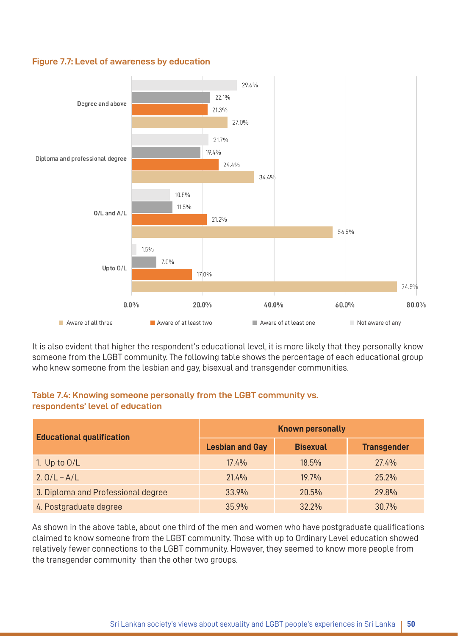#### **Figure 7.7: Level of awareness by education**



It is also evident that higher the respondent's educational level, it is more likely that they personally know someone from the LGBT community. The following table shows the percentage of each educational group who knew someone from the lesbian and gay, bisexual and transgender communities.

#### **Table 7.4: Knowing someone personally from the LGBT community vs. respondents' level of education**

| <b>Educational qualification</b>   | <b>Known personally</b> |                 |                    |  |  |
|------------------------------------|-------------------------|-----------------|--------------------|--|--|
|                                    | <b>Lesbian and Gay</b>  | <b>Bisexual</b> | <b>Transgender</b> |  |  |
| 1. Up to $O/L$                     | 17.4%                   | $18.5\%$        | 27.4%              |  |  |
| $2.0/L - A/L$                      | 21.4%                   | $19.7\%$        | 25.2%              |  |  |
| 3. Diploma and Professional degree | 33.9%                   | 20.5%           | 29.8%              |  |  |
| 4. Postgraduate degree             | 35.9%                   | 32.2%           | 30.7%              |  |  |

As shown in the above table, about one third of the men and women who have postgraduate qualifications claimed to know someone from the LGBT community. Those with up to Ordinary Level education showed relatively fewer connections to the LGBT community. However, they seemed to know more people from the transgender community than the other two groups.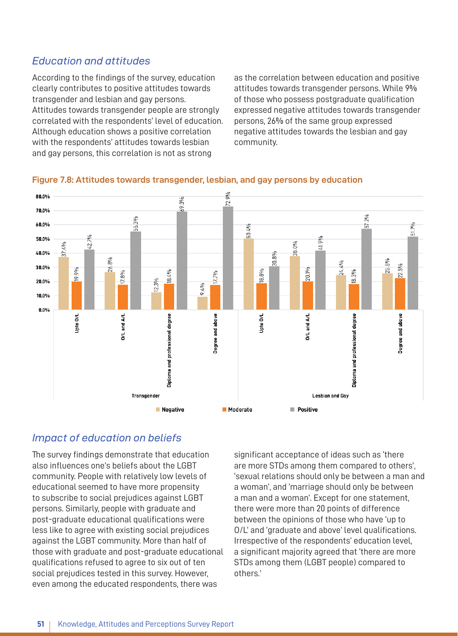#### *Education and attitudes*

According to the findings of the survey, education clearly contributes to positive attitudes towards transgender and lesbian and gay persons. Attitudes towards transgender people are strongly correlated with the respondents' level of education. Although education shows a positive correlation with the respondents' attitudes towards lesbian and gay persons, this correlation is not as strong

as the correlation between education and positive attitudes towards transgender persons. While 9% of those who possess postgraduate qualification expressed negative attitudes towards transgender persons, 26% of the same group expressed negative attitudes towards the lesbian and gay community.



#### **Figure 7.8: Attitudes towards transgender, lesbian, and gay persons by education**

#### *Impact of education on beliefs*

The survey findings demonstrate that education also influences one's beliefs about the LGBT community. People with relatively low levels of educational seemed to have more propensity to subscribe to social prejudices against LGBT persons. Similarly, people with graduate and post-graduate educational qualifications were less like to agree with existing social prejudices against the LGBT community. More than half of those with graduate and post-graduate educational qualifications refused to agree to six out of ten social prejudices tested in this survey. However, even among the educated respondents, there was

significant acceptance of ideas such as 'there are more STDs among them compared to others', 'sexual relations should only be between a man and a woman', and 'marriage should only be between a man and a woman'. Except for one statement, there were more than 20 points of difference between the opinions of those who have 'up to O/L' and 'graduate and above' level qualifications. Irrespective of the respondents' education level, a significant majority agreed that 'there are more STDs among them (LGBT people) compared to others.'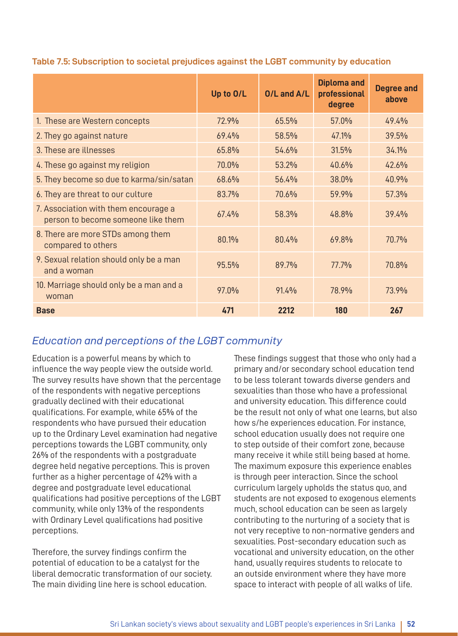|                                                                            | Up to O/L | $O/L$ and $A/L$ | <b>Diploma and</b><br>professional<br>degree | <b>Degree and</b><br>above |
|----------------------------------------------------------------------------|-----------|-----------------|----------------------------------------------|----------------------------|
| 1. These are Western concepts                                              | 72.9%     | 65.5%           | 57.0%                                        | 49.4%                      |
| 2. They go against nature                                                  | 69.4%     | 58.5%           | 47.1%                                        | 39.5%                      |
| 3. These are illnesses                                                     | 65.8%     | 54.6%           | 31.5%                                        | 34.1%                      |
| 4. These go against my religion                                            | 70.0%     | 53.2%           | 40.6%                                        | 42.6%                      |
| 5. They become so due to karma/sin/satan                                   | 68.6%     | 56.4%           | 38.0%                                        | 40.9%                      |
| 6. They are threat to our culture                                          | 83.7%     | 70.6%           | 59.9%                                        | 57.3%                      |
| 7. Association with them encourage a<br>person to become someone like them | 67.4%     | 58.3%           | 48.8%                                        | 39.4%                      |
| 8. There are more STDs among them<br>compared to others                    | 80.1%     | 80.4%           | 69.8%                                        | 70.7%                      |
| 9. Sexual relation should only be a man<br>and a woman                     | 95.5%     | 89.7%           | 77.7%                                        | 70.8%                      |
| 10. Marriage should only be a man and a<br>woman                           | 97.0%     | 91.4%           | 78.9%                                        | 73.9%                      |
| <b>Base</b>                                                                | 471       | 2212            | 180                                          | 267                        |

#### **Table 7.5: Subscription to societal prejudices against the LGBT community by education**

#### *Education and perceptions of the LGBT community*

Education is a powerful means by which to influence the way people view the outside world. The survey results have shown that the percentage of the respondents with negative perceptions gradually declined with their educational qualifications. For example, while 65% of the respondents who have pursued their education up to the Ordinary Level examination had negative perceptions towards the LGBT community, only 26% of the respondents with a postgraduate degree held negative perceptions. This is proven further as a higher percentage of 42% with a degree and postgraduate level educational qualifications had positive perceptions of the LGBT community, while only 13% of the respondents with Ordinary Level qualifications had positive perceptions.

Therefore, the survey findings confirm the potential of education to be a catalyst for the liberal democratic transformation of our society. The main dividing line here is school education.

These findings suggest that those who only had a primary and/or secondary school education tend to be less tolerant towards diverse genders and sexualities than those who have a professional and university education. This difference could be the result not only of what one learns, but also how s/he experiences education. For instance, school education usually does not require one to step outside of their comfort zone, because many receive it while still being based at home. The maximum exposure this experience enables is through peer interaction. Since the school curriculum largely upholds the status quo, and students are not exposed to exogenous elements much, school education can be seen as largely contributing to the nurturing of a society that is not very receptive to non-normative genders and sexualities. Post-secondary education such as vocational and university education, on the other hand, usually requires students to relocate to an outside environment where they have more space to interact with people of all walks of life.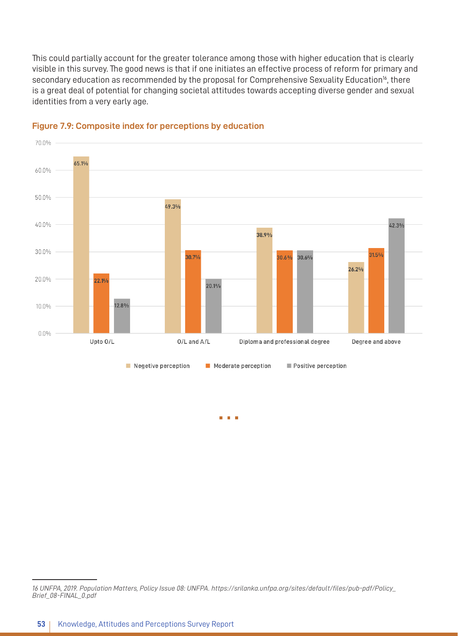This could partially account for the greater tolerance among those with higher education that is clearly visible in this survey. The good news is that if one initiates an effective process of reform for primary and secondary education as recommended by the proposal for Comprehensive Sexuality Education<sup>16</sup>, there is a great deal of potential for changing societal attitudes towards accepting diverse gender and sexual identities from a very early age.



#### **Figure 7.9: Composite index for perceptions by education**

**D** D

*<sup>16</sup> UNFPA, 2019. Population Matters, Policy Issue 08: UNFPA. https://srilanka.unfpa.org/sites/default/files/pub-pdf/Policy\_ Brief\_08-FINAL\_0.pdf*